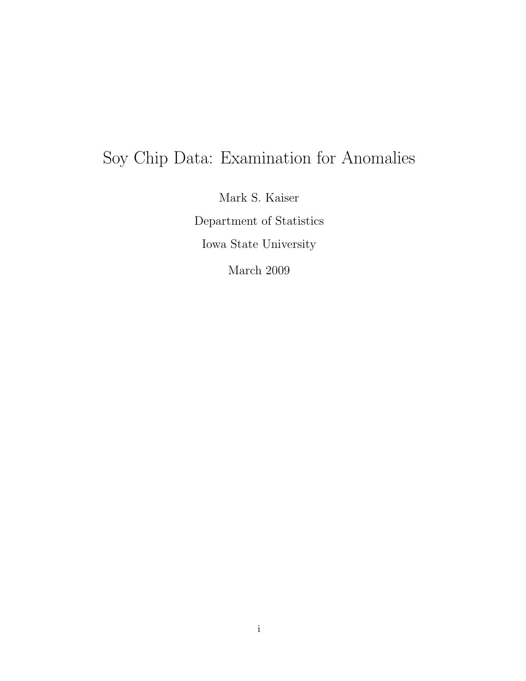# Soy Chip Data: Examination for Anomalies

Mark S. Kaiser Department of Statistics Iowa State University

March 2009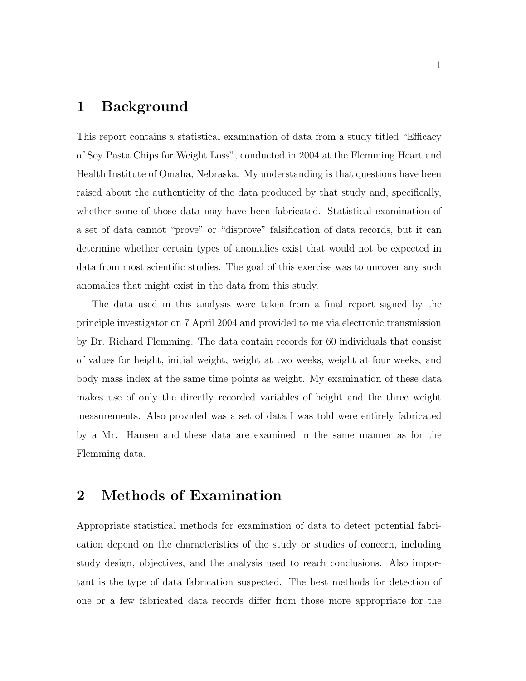#### 1 Background

This report contains a statistical examination of data from a study titled "Efficacy of Soy Pasta Chips for Weight Loss", conducted in 2004 at the Flemming Heart and Health Institute of Omaha, Nebraska. My understanding is that questions have been raised about the authenticity of the data produced by that study and, specifically, whether some of those data may have been fabricated. Statistical examination of a set of data cannot "prove" or "disprove" falsification of data records, but it can determine whether certain types of anomalies exist that would not be expected in data from most scientific studies. The goal of this exercise was to uncover any such anomalies that might exist in the data from this study.

The data used in this analysis were taken from a final report signed by the principle investigator on 7 April 2004 and provided to me via electronic transmission by Dr. Richard Flemming. The data contain records for 60 individuals that consist of values for height, initial weight, weight at two weeks, weight at four weeks, and body mass index at the same time points as weight. My examination of these data makes use of only the directly recorded variables of height and the three weight measurements. Also provided was a set of data I was told were entirely fabricated by a Mr. Hansen and these data are examined in the same manner as for the Flemming data.

## 2 Methods of Examination

Appropriate statistical methods for examination of data to detect potential fabrication depend on the characteristics of the study or studies of concern, including study design, objectives, and the analysis used to reach conclusions. Also important is the type of data fabrication suspected. The best methods for detection of one or a few fabricated data records differ from those more appropriate for the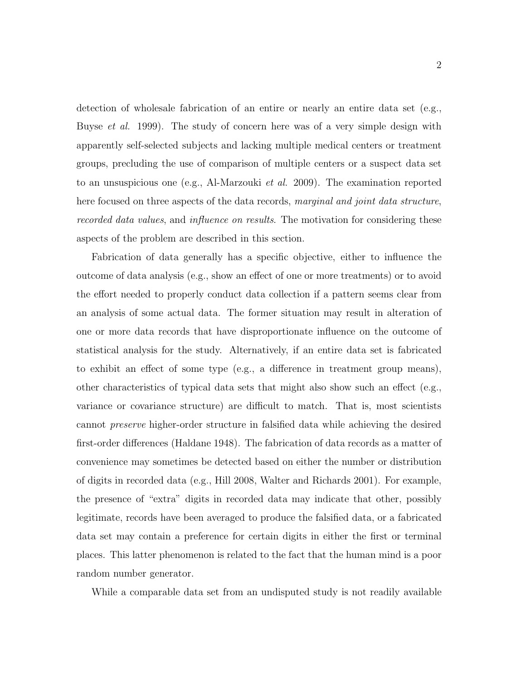detection of wholesale fabrication of an entire or nearly an entire data set (e.g., Buyse et al. 1999). The study of concern here was of a very simple design with apparently self-selected subjects and lacking multiple medical centers or treatment groups, precluding the use of comparison of multiple centers or a suspect data set to an unsuspicious one (e.g., Al-Marzouki et al. 2009). The examination reported here focused on three aspects of the data records, marginal and joint data structure, recorded data values, and influence on results. The motivation for considering these aspects of the problem are described in this section.

Fabrication of data generally has a specific objective, either to influence the outcome of data analysis (e.g., show an effect of one or more treatments) or to avoid the effort needed to properly conduct data collection if a pattern seems clear from an analysis of some actual data. The former situation may result in alteration of one or more data records that have disproportionate influence on the outcome of statistical analysis for the study. Alternatively, if an entire data set is fabricated to exhibit an effect of some type (e.g., a difference in treatment group means), other characteristics of typical data sets that might also show such an effect (e.g., variance or covariance structure) are difficult to match. That is, most scientists cannot preserve higher-order structure in falsified data while achieving the desired first-order differences (Haldane 1948). The fabrication of data records as a matter of convenience may sometimes be detected based on either the number or distribution of digits in recorded data (e.g., Hill 2008, Walter and Richards 2001). For example, the presence of "extra" digits in recorded data may indicate that other, possibly legitimate, records have been averaged to produce the falsified data, or a fabricated data set may contain a preference for certain digits in either the first or terminal places. This latter phenomenon is related to the fact that the human mind is a poor random number generator.

While a comparable data set from an undisputed study is not readily available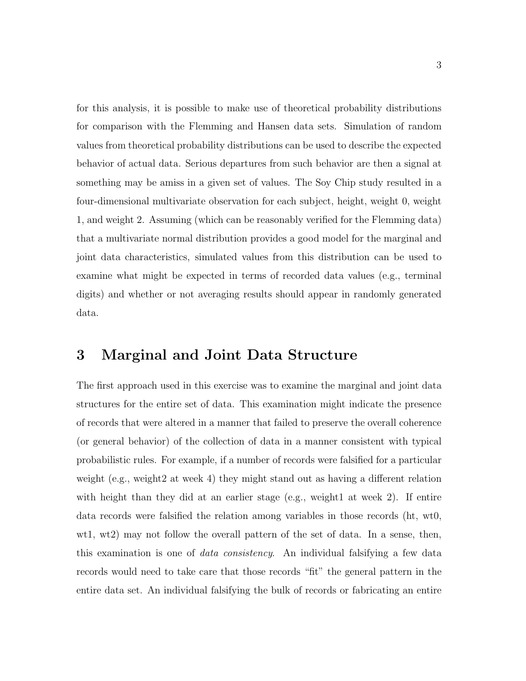for this analysis, it is possible to make use of theoretical probability distributions for comparison with the Flemming and Hansen data sets. Simulation of random values from theoretical probability distributions can be used to describe the expected behavior of actual data. Serious departures from such behavior are then a signal at something may be amiss in a given set of values. The Soy Chip study resulted in a four-dimensional multivariate observation for each subject, height, weight 0, weight 1, and weight 2. Assuming (which can be reasonably verified for the Flemming data) that a multivariate normal distribution provides a good model for the marginal and joint data characteristics, simulated values from this distribution can be used to examine what might be expected in terms of recorded data values (e.g., terminal digits) and whether or not averaging results should appear in randomly generated data.

#### 3 Marginal and Joint Data Structure

The first approach used in this exercise was to examine the marginal and joint data structures for the entire set of data. This examination might indicate the presence of records that were altered in a manner that failed to preserve the overall coherence (or general behavior) of the collection of data in a manner consistent with typical probabilistic rules. For example, if a number of records were falsified for a particular weight (e.g., weight2 at week 4) they might stand out as having a different relation with height than they did at an earlier stage (e.g., weight1 at week 2). If entire data records were falsified the relation among variables in those records (ht, wt0, wt1, wt2) may not follow the overall pattern of the set of data. In a sense, then, this examination is one of *data consistency*. An individual falsifying a few data records would need to take care that those records "fit" the general pattern in the entire data set. An individual falsifying the bulk of records or fabricating an entire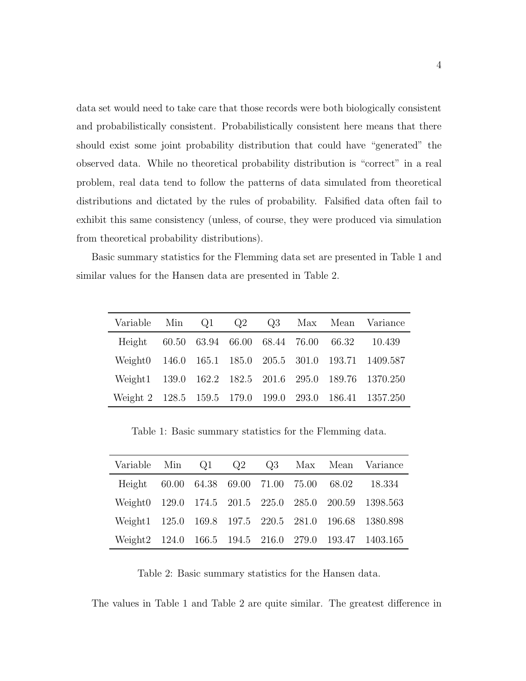data set would need to take care that those records were both biologically consistent and probabilistically consistent. Probabilistically consistent here means that there should exist some joint probability distribution that could have "generated" the observed data. While no theoretical probability distribution is "correct" in a real problem, real data tend to follow the patterns of data simulated from theoretical distributions and dictated by the rules of probability. Falsified data often fail to exhibit this same consistency (unless, of course, they were produced via simulation from theoretical probability distributions).

Basic summary statistics for the Flemming data set are presented in Table 1 and similar values for the Hansen data are presented in Table 2.

|  |  |  | Variable Min Q1 Q2 Q3 Max Mean Variance                |
|--|--|--|--------------------------------------------------------|
|  |  |  | Height 60.50 63.94 66.00 68.44 76.00 66.32 10.439      |
|  |  |  | Weight0 146.0 165.1 185.0 205.5 301.0 193.71 1409.587  |
|  |  |  | Weight1 139.0 162.2 182.5 201.6 295.0 189.76 1370.250  |
|  |  |  | Weight 2 128.5 159.5 179.0 199.0 293.0 186.41 1357.250 |

Table 1: Basic summary statistics for the Flemming data.

| Variable Min Q1 Q2 Q3 Max Mean Variance               |  |  |  |                                                       |
|-------------------------------------------------------|--|--|--|-------------------------------------------------------|
| Height 60.00 64.38 69.00 71.00 75.00 68.02 18.334     |  |  |  |                                                       |
| Weight0 129.0 174.5 201.5 225.0 285.0 200.59 1398.563 |  |  |  |                                                       |
|                                                       |  |  |  | Weight1 125.0 169.8 197.5 220.5 281.0 196.68 1380.898 |
|                                                       |  |  |  | Weight2 124.0 166.5 194.5 216.0 279.0 193.47 1403.165 |

Table 2: Basic summary statistics for the Hansen data.

The values in Table 1 and Table 2 are quite similar. The greatest difference in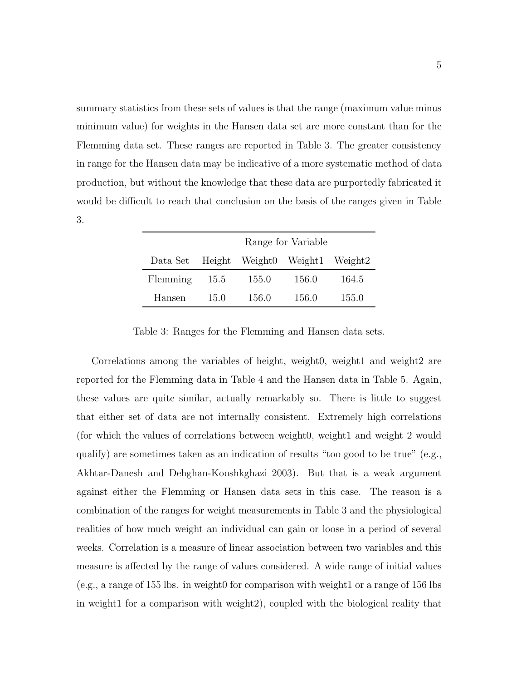summary statistics from these sets of values is that the range (maximum value minus minimum value) for weights in the Hansen data set are more constant than for the Flemming data set. These ranges are reported in Table 3. The greater consistency in range for the Hansen data may be indicative of a more systematic method of data production, but without the knowledge that these data are purportedly fabricated it would be difficult to reach that conclusion on the basis of the ranges given in Table 3.

|                                         | Range for Variable |       |       |       |  |
|-----------------------------------------|--------------------|-------|-------|-------|--|
| Data Set Height Weight0 Weight1 Weight2 |                    |       |       |       |  |
| Flemming                                | 15.5               | 155.0 | 156.0 | 164.5 |  |
| Hansen                                  | 15.0               | 156.0 | 156.0 | 155.0 |  |

Table 3: Ranges for the Flemming and Hansen data sets.

Correlations among the variables of height, weight0, weight1 and weight2 are reported for the Flemming data in Table 4 and the Hansen data in Table 5. Again, these values are quite similar, actually remarkably so. There is little to suggest that either set of data are not internally consistent. Extremely high correlations (for which the values of correlations between weight0, weight1 and weight 2 would qualify) are sometimes taken as an indication of results "too good to be true"  $(e.g.,)$ Akhtar-Danesh and Dehghan-Kooshkghazi 2003). But that is a weak argument against either the Flemming or Hansen data sets in this case. The reason is a combination of the ranges for weight measurements in Table 3 and the physiological realities of how much weight an individual can gain or loose in a period of several weeks. Correlation is a measure of linear association between two variables and this measure is affected by the range of values considered. A wide range of initial values (e.g., a range of 155 lbs. in weight0 for comparison with weight1 or a range of 156 lbs in weight1 for a comparison with weight2), coupled with the biological reality that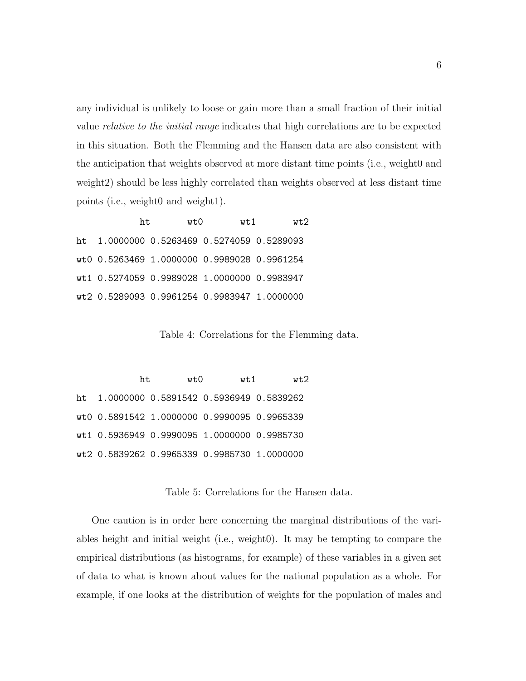any individual is unlikely to loose or gain more than a small fraction of their initial value relative to the initial range indicates that high correlations are to be expected in this situation. Both the Flemming and the Hansen data are also consistent with the anticipation that weights observed at more distant time points (i.e., weight0 and weight2) should be less highly correlated than weights observed at less distant time points (i.e., weight0 and weight1).

| ht. | wt0 | wt 1                                        | wt2 |
|-----|-----|---------------------------------------------|-----|
|     |     | ht 1.0000000 0.5263469 0.5274059 0.5289093  |     |
|     |     | wt0 0.5263469 1.0000000 0.9989028 0.9961254 |     |
|     |     | wt1 0.5274059 0.9989028 1.0000000 0.9983947 |     |
|     |     | wt2 0.5289093 0.9961254 0.9983947 1.0000000 |     |

Table 4: Correlations for the Flemming data.

ht wt0 wt1 wt2 ht 1.0000000 0.5891542 0.5936949 0.5839262 wt0 0.5891542 1.0000000 0.9990095 0.9965339 wt1 0.5936949 0.9990095 1.0000000 0.9985730 wt2 0.5839262 0.9965339 0.9985730 1.0000000

Table 5: Correlations for the Hansen data.

One caution is in order here concerning the marginal distributions of the variables height and initial weight (i.e., weight0). It may be tempting to compare the empirical distributions (as histograms, for example) of these variables in a given set of data to what is known about values for the national population as a whole. For example, if one looks at the distribution of weights for the population of males and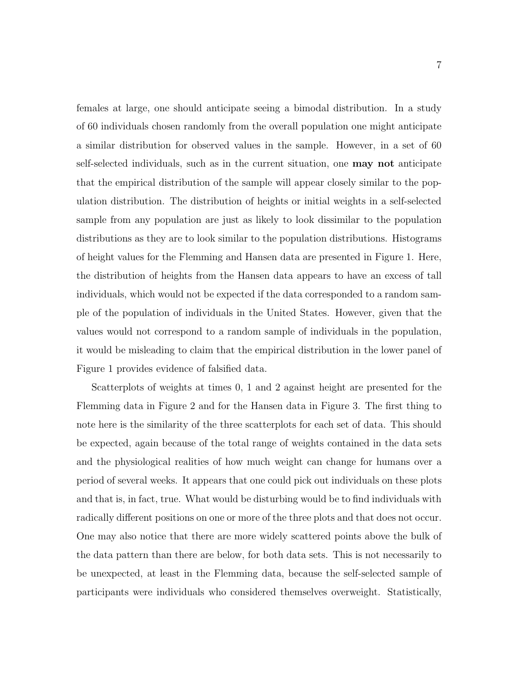females at large, one should anticipate seeing a bimodal distribution. In a study of 60 individuals chosen randomly from the overall population one might anticipate a similar distribution for observed values in the sample. However, in a set of 60 self-selected individuals, such as in the current situation, one may not anticipate that the empirical distribution of the sample will appear closely similar to the population distribution. The distribution of heights or initial weights in a self-selected sample from any population are just as likely to look dissimilar to the population distributions as they are to look similar to the population distributions. Histograms of height values for the Flemming and Hansen data are presented in Figure 1. Here, the distribution of heights from the Hansen data appears to have an excess of tall individuals, which would not be expected if the data corresponded to a random sample of the population of individuals in the United States. However, given that the values would not correspond to a random sample of individuals in the population, it would be misleading to claim that the empirical distribution in the lower panel of Figure 1 provides evidence of falsified data.

Scatterplots of weights at times 0, 1 and 2 against height are presented for the Flemming data in Figure 2 and for the Hansen data in Figure 3. The first thing to note here is the similarity of the three scatterplots for each set of data. This should be expected, again because of the total range of weights contained in the data sets and the physiological realities of how much weight can change for humans over a period of several weeks. It appears that one could pick out individuals on these plots and that is, in fact, true. What would be disturbing would be to find individuals with radically different positions on one or more of the three plots and that does not occur. One may also notice that there are more widely scattered points above the bulk of the data pattern than there are below, for both data sets. This is not necessarily to be unexpected, at least in the Flemming data, because the self-selected sample of participants were individuals who considered themselves overweight. Statistically,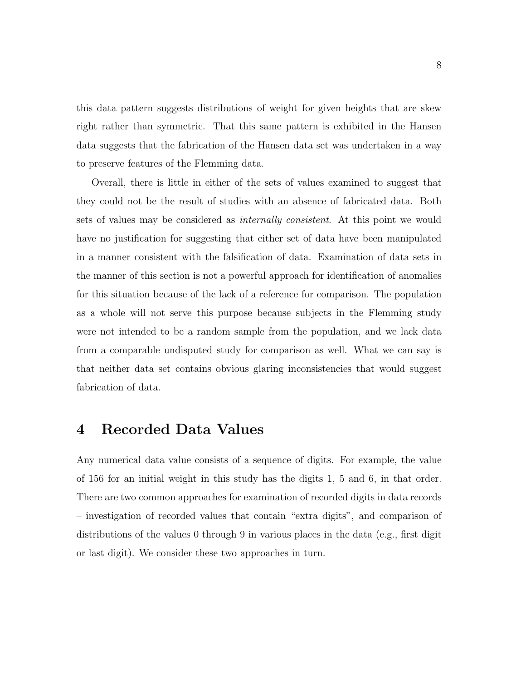this data pattern suggests distributions of weight for given heights that are skew right rather than symmetric. That this same pattern is exhibited in the Hansen data suggests that the fabrication of the Hansen data set was undertaken in a way to preserve features of the Flemming data.

Overall, there is little in either of the sets of values examined to suggest that they could not be the result of studies with an absence of fabricated data. Both sets of values may be considered as internally consistent. At this point we would have no justification for suggesting that either set of data have been manipulated in a manner consistent with the falsification of data. Examination of data sets in the manner of this section is not a powerful approach for identification of anomalies for this situation because of the lack of a reference for comparison. The population as a whole will not serve this purpose because subjects in the Flemming study were not intended to be a random sample from the population, and we lack data from a comparable undisputed study for comparison as well. What we can say is that neither data set contains obvious glaring inconsistencies that would suggest fabrication of data.

#### 4 Recorded Data Values

Any numerical data value consists of a sequence of digits. For example, the value of 156 for an initial weight in this study has the digits 1, 5 and 6, in that order. There are two common approaches for examination of recorded digits in data records – investigation of recorded values that contain "extra digits", and comparison of distributions of the values 0 through 9 in various places in the data (e.g., first digit or last digit). We consider these two approaches in turn.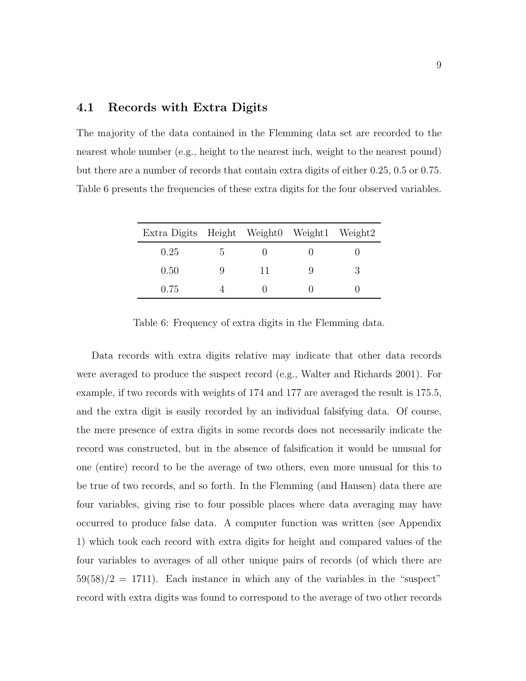#### 4.1 Records with Extra Digits

The majority of the data contained in the Flemming data set are recorded to the nearest whole number (e.g., height to the nearest inch, weight to the nearest pound) but there are a number of records that contain extra digits of either 0.25, 0.5 or 0.75. Table 6 presents the frequencies of these extra digits for the four observed variables.

| Extra Digits Height Weight0 Weight1 Weight2 |   |    |  |
|---------------------------------------------|---|----|--|
| 0.25                                        | G |    |  |
| 0.50                                        |   | 11 |  |
| 0.75                                        |   |    |  |

Table 6: Frequency of extra digits in the Flemming data.

Data records with extra digits relative may indicate that other data records were averaged to produce the suspect record (e.g., Walter and Richards 2001). For example, if two records with weights of 174 and 177 are averaged the result is 175.5, and the extra digit is easily recorded by an individual falsifying data. Of course, the mere presence of extra digits in some records does not necessarily indicate the record was constructed, but in the absence of falsification it would be unusual for one (entire) record to be the average of two others, even more unusual for this to be true of two records, and so forth. In the Flemming (and Hansen) data there are four variables, giving rise to four possible places where data averaging may have occurred to produce false data. A computer function was written (see Appendix 1) which took each record with extra digits for height and compared values of the four variables to averages of all other unique pairs of records (of which there are  $59(58)/2 = 1711$ . Each instance in which any of the variables in the "suspect" record with extra digits was found to correspond to the average of two other records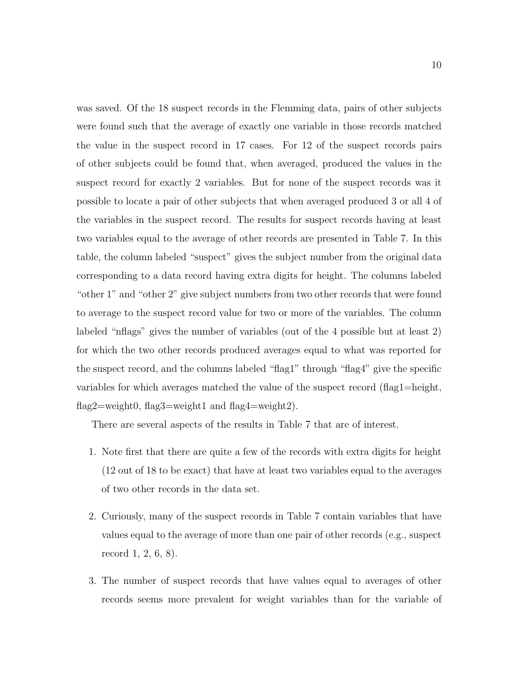was saved. Of the 18 suspect records in the Flemming data, pairs of other subjects were found such that the average of exactly one variable in those records matched the value in the suspect record in 17 cases. For 12 of the suspect records pairs of other subjects could be found that, when averaged, produced the values in the suspect record for exactly 2 variables. But for none of the suspect records was it possible to locate a pair of other subjects that when averaged produced 3 or all 4 of the variables in the suspect record. The results for suspect records having at least two variables equal to the average of other records are presented in Table 7. In this table, the column labeled "suspect" gives the subject number from the original data corresponding to a data record having extra digits for height. The columns labeled "other 1" and "other 2" give subject numbers from two other records that were found to average to the suspect record value for two or more of the variables. The column labeled "nflags" gives the number of variables (out of the 4 possible but at least 2) for which the two other records produced averages equal to what was reported for the suspect record, and the columns labeled "flag1" through "flag4" give the specific variables for which averages matched the value of the suspect record (flag1=height, flag2=weight0, flag3=weight1 and flag4=weight2).

There are several aspects of the results in Table 7 that are of interest.

- 1. Note first that there are quite a few of the records with extra digits for height (12 out of 18 to be exact) that have at least two variables equal to the averages of two other records in the data set.
- 2. Curiously, many of the suspect records in Table 7 contain variables that have values equal to the average of more than one pair of other records (e.g., suspect record 1, 2, 6, 8).
- 3. The number of suspect records that have values equal to averages of other records seems more prevalent for weight variables than for the variable of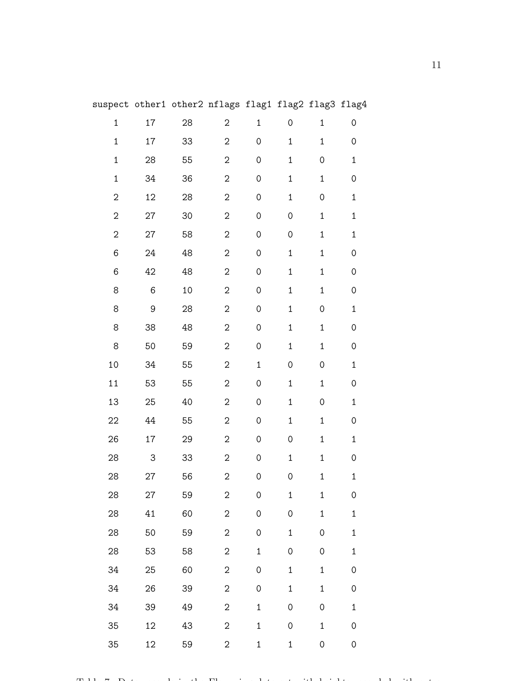|                |                  | aspect others others hirdge ridgi ridgs ridge ridg <del>i</del> |                                |                     |                        |                        |                     |  |
|----------------|------------------|-----------------------------------------------------------------|--------------------------------|---------------------|------------------------|------------------------|---------------------|--|
| $\mathbf{1}$   | 17               | 28                                                              | $2 \left( \frac{1}{2} \right)$ |                     | $1 \qquad 0$           | $1 \quad \blacksquare$ | $\mathsf{O}\xspace$ |  |
| $\mathbf{1}$   | 17               | 33                                                              | $\overline{2}$                 | $\mathsf{O}\xspace$ | $1 \quad \blacksquare$ | 1                      | 0                   |  |
| $\mathbf{1}$   | 28               | 55                                                              | $\overline{2}$                 | $\mathsf{O}\xspace$ | $\mathbf 1$            | $\mathsf{O}\xspace$    | $\mathbf 1$         |  |
| $\mathbf{1}$   | 34               | 36                                                              | $\overline{2}$                 | 0                   | $\mathbf{1}$           | 1                      | $\mathsf{O}\xspace$ |  |
| $\overline{2}$ | 12               | $28\,$                                                          | $\overline{2}$                 | $\mathsf{O}\xspace$ | $\mathbf{1}$           | $\mathsf{O}\xspace$    | $\mathbf 1$         |  |
| $\overline{2}$ | 27               | 30                                                              | $\overline{2}$                 | $\mathsf{O}\xspace$ | 0                      | $\mathbf{1}$           | $\mathbf 1$         |  |
| 2              | 27               | 58                                                              | $\overline{2}$                 | $\mathsf{O}\xspace$ | 0                      | 1                      | $\mathbf 1$         |  |
| 6              | 24               | 48                                                              | $\overline{2}$                 | $\mathsf{O}\xspace$ | $\mathbf 1$            | $\mathbf{1}$           | 0                   |  |
| 6              | 42               | 48                                                              | $\overline{2}$                 | $\mathsf{O}\xspace$ | $\mathbf{1}$           | $\mathbf{1}$           | 0                   |  |
| 8              | $\,6\,$          | $10\,$                                                          | $\overline{2}$                 | $\mathsf{O}\xspace$ | $\mathbf{1}$           | 1                      | $\mathsf{O}\xspace$ |  |
| 8              | $\boldsymbol{9}$ | 28                                                              | $\overline{2}$                 | $\mathsf{O}\xspace$ | $\mathbf{1}$           | $\overline{O}$         | $\mathbf 1$         |  |
| 8              | 38               | 48                                                              | $\overline{2}$                 | $\mathsf{O}\xspace$ | $1 \quad \blacksquare$ | 1                      | $\mathsf{O}\xspace$ |  |
| 8              | 50               | 59                                                              | $\overline{2}$                 | $\mathsf{O}\xspace$ | $\mathbf{1}$           | $\mathbf{1}$           | 0                   |  |
| 10             | 34               | 55                                                              | $\overline{2}$                 | $\mathbf 1$         | 0                      | $\mathsf{O}\xspace$    | $\mathbf 1$         |  |
| 11             | 53               | 55                                                              | $\overline{2}$                 | $\mathsf{O}\xspace$ | $\mathbf{1}$           | $\mathbf{1}$           | $\mathsf{O}\xspace$ |  |
| 13             | 25               | 40                                                              | $\overline{2}$                 | $\mathsf{O}\xspace$ | $\mathbf{1}$           | $\mathsf{O}\xspace$    | $\mathbf 1$         |  |
| 22             | 44               | 55                                                              | $\overline{2}$                 | $\mathsf{O}\xspace$ | $1 \quad \blacksquare$ | 1                      | 0                   |  |
| 26             | 17               | 29                                                              | $\overline{2}$                 | $\mathsf{O}\xspace$ | 0                      | 1                      | $\mathbf 1$         |  |
| 28             | 3                | 33                                                              | $\overline{2}$                 | $\mathsf{O}\xspace$ | $\mathbf{1}$           | 1                      | 0                   |  |
| 28             | 27               | 56                                                              | $\overline{2}$                 | 0                   | 0                      | $\mathbf{1}$           | $\mathbf{1}$        |  |
| 28             | 27               | 59                                                              | 2                              | 0                   | $\mathbf 1$            | $\mathbf{1}$           | 0                   |  |
| 28             | 41               | 60                                                              | $\overline{2}$                 | $\mathsf{O}\xspace$ | $\hbox{O}$             | $\mathbf{1}$           | $\mathbf{1}$        |  |
| 28             | 50               | 59                                                              | $\overline{2}$                 | $\mathsf O$         | $\mathbf{1}$           | 0                      | $\mathbf 1$         |  |
| 28             | 53               | 58                                                              | $\overline{2}$                 | $\mathbf 1$         | 0                      | 0                      | $\mathbf{1}$        |  |
| 34             | 25               | 60                                                              | $\overline{2}$                 | $\mbox{O}$          | $\mathbf 1$            | $\mathbf{1}$           | 0                   |  |
| 34             | 26               | 39                                                              | $\overline{2}$                 | $\mathsf{O}\xspace$ | $\mathbf{1}$           | $\mathbf{1}$           | 0                   |  |
| 34             | 39               | 49                                                              | $\overline{2}$                 | $\mathbf{1}$        | 0                      | 0                      | $\mathbf{1}$        |  |
| 35             | 12               | 43                                                              | $\overline{2}$                 | $\mathbf{1}$        | 0                      | $\mathbf{1}$           | 0                   |  |
| 35             | 12               | 59                                                              | $\overline{2}$                 | $\mathbf{1}$        | $\mathbf{1}$           | 0                      | 0                   |  |

suspect other1 other2 nflags flag1 flag2 flag3 flag4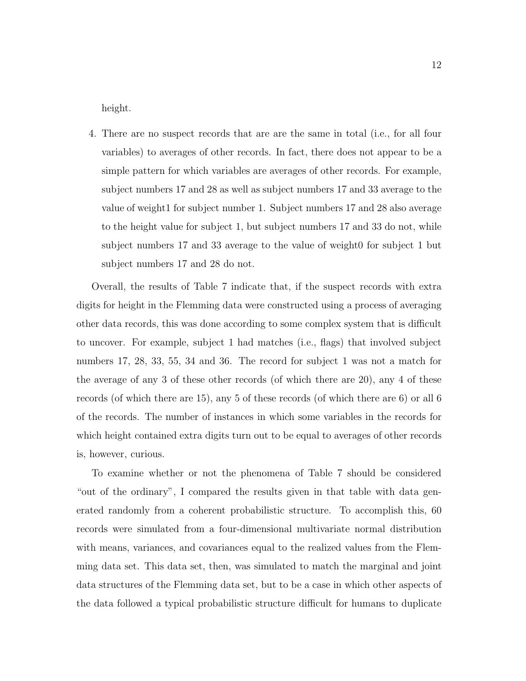height.

4. There are no suspect records that are are the same in total (i.e., for all four variables) to averages of other records. In fact, there does not appear to be a simple pattern for which variables are averages of other records. For example, subject numbers 17 and 28 as well as subject numbers 17 and 33 average to the value of weight1 for subject number 1. Subject numbers 17 and 28 also average to the height value for subject 1, but subject numbers 17 and 33 do not, while subject numbers 17 and 33 average to the value of weight0 for subject 1 but subject numbers 17 and 28 do not.

Overall, the results of Table 7 indicate that, if the suspect records with extra digits for height in the Flemming data were constructed using a process of averaging other data records, this was done according to some complex system that is difficult to uncover. For example, subject 1 had matches (i.e., flags) that involved subject numbers 17, 28, 33, 55, 34 and 36. The record for subject 1 was not a match for the average of any 3 of these other records (of which there are 20), any 4 of these records (of which there are 15), any 5 of these records (of which there are 6) or all 6 of the records. The number of instances in which some variables in the records for which height contained extra digits turn out to be equal to averages of other records is, however, curious.

To examine whether or not the phenomena of Table 7 should be considered "out of the ordinary", I compared the results given in that table with data generated randomly from a coherent probabilistic structure. To accomplish this, 60 records were simulated from a four-dimensional multivariate normal distribution with means, variances, and covariances equal to the realized values from the Flemming data set. This data set, then, was simulated to match the marginal and joint data structures of the Flemming data set, but to be a case in which other aspects of the data followed a typical probabilistic structure difficult for humans to duplicate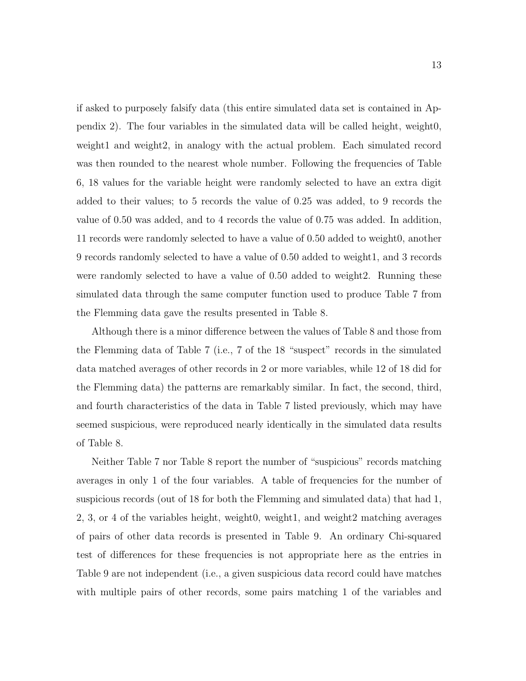if asked to purposely falsify data (this entire simulated data set is contained in Appendix 2). The four variables in the simulated data will be called height, weight0, weight1 and weight2, in analogy with the actual problem. Each simulated record was then rounded to the nearest whole number. Following the frequencies of Table 6, 18 values for the variable height were randomly selected to have an extra digit added to their values; to 5 records the value of 0.25 was added, to 9 records the value of 0.50 was added, and to 4 records the value of 0.75 was added. In addition, 11 records were randomly selected to have a value of 0.50 added to weight0, another 9 records randomly selected to have a value of 0.50 added to weight1, and 3 records were randomly selected to have a value of 0.50 added to weight2. Running these simulated data through the same computer function used to produce Table 7 from the Flemming data gave the results presented in Table 8.

Although there is a minor difference between the values of Table 8 and those from the Flemming data of Table 7 (i.e., 7 of the 18 "suspect" records in the simulated data matched averages of other records in 2 or more variables, while 12 of 18 did for the Flemming data) the patterns are remarkably similar. In fact, the second, third, and fourth characteristics of the data in Table 7 listed previously, which may have seemed suspicious, were reproduced nearly identically in the simulated data results of Table 8.

Neither Table 7 nor Table 8 report the number of "suspicious" records matching averages in only 1 of the four variables. A table of frequencies for the number of suspicious records (out of 18 for both the Flemming and simulated data) that had 1, 2, 3, or 4 of the variables height, weight0, weight1, and weight2 matching averages of pairs of other data records is presented in Table 9. An ordinary Chi-squared test of differences for these frequencies is not appropriate here as the entries in Table 9 are not independent (i.e., a given suspicious data record could have matches with multiple pairs of other records, some pairs matching 1 of the variables and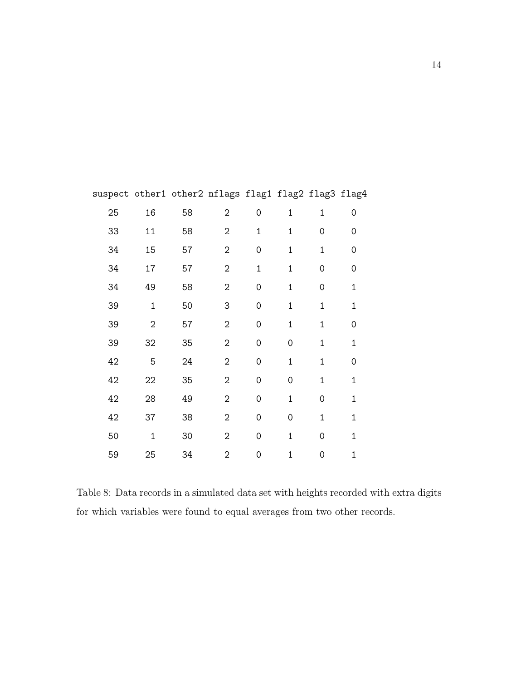| 25 | 16             | 58 | $\sqrt{2}$     | $\mathsf{O}\xspace$ | $\mathbf 1$    | $\mathbf{1}$        | 0              |
|----|----------------|----|----------------|---------------------|----------------|---------------------|----------------|
| 33 | 11             | 58 | $\overline{2}$ | $\mathbf{1}$        | $\mathbf{1}$   | $\mathbf 0$         | 0              |
| 34 | 15             | 57 | $\overline{2}$ | $\mathsf{O}\xspace$ | $\mathbf 1$    | $\mathbf{1}$        | 0              |
| 34 | 17             | 57 | $\sqrt{2}$     | $\mathbf{1}$        | $\mathbf{1}$   | $\mathbf 0$         | 0              |
| 34 | 49             | 58 | $\sqrt{2}$     | $\mathbf 0$         | $\mathbf{1}$   | $\mathbf 0$         | $\overline{1}$ |
| 39 | $\overline{1}$ | 50 | 3              | $\mathsf{O}\xspace$ | $\mathbf{1}$   | $\mathbf{1}$        | $\overline{1}$ |
| 39 | $\overline{2}$ | 57 | $\overline{2}$ | 0                   | $\mathbf{1}$   | $\mathbf{1}$        | 0              |
| 39 | 32             | 35 | $\overline{2}$ | $\mathbf 0$         | 0              | $\mathbf{1}$        | $\mathbf{1}$   |
| 42 | 5              | 24 | 2              | $\mathbf 0$         | $\mathbf{1}$   | $\mathbf{1}$        | 0              |
| 42 | 22             | 35 | $\sqrt{2}$     | $\mathsf{O}\xspace$ | 0              | $\mathbf{1}$        | $\mathbf{1}$   |
| 42 | 28             | 49 | $\overline{2}$ | $\mathbf 0$         | $\mathbf{1}$   | $\mathsf{O}\xspace$ | $\overline{1}$ |
| 42 | 37             | 38 | $\overline{2}$ | $\mathbf 0$         | $\overline{O}$ | $\overline{1}$      | $\mathbf{1}$   |
| 50 | $\mathbf{1}$   | 30 | $\sqrt{2}$     | $\mathsf{O}\xspace$ | $\mathbf 1$    | $\mathbf 0$         | $\mathbf{1}$   |
| 59 | 25             | 34 | 2              | 0                   | $\mathbf{1}$   | $\mathbf 0$         | $\mathbf{1}$   |

suspect other1 other2 nflags flag1 flag2 flag3 flag4

Table 8: Data records in a simulated data set with heights recorded with extra digits for which variables were found to equal averages from two other records.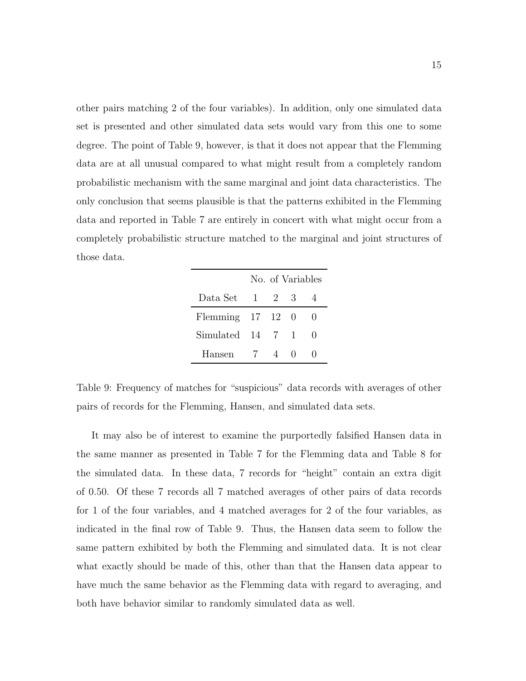other pairs matching 2 of the four variables). In addition, only one simulated data set is presented and other simulated data sets would vary from this one to some degree. The point of Table 9, however, is that it does not appear that the Flemming data are at all unusual compared to what might result from a completely random probabilistic mechanism with the same marginal and joint data characteristics. The only conclusion that seems plausible is that the patterns exhibited in the Flemming data and reported in Table 7 are entirely in concert with what might occur from a completely probabilistic structure matched to the marginal and joint structures of those data.

|                                |       | No. of Variables |              |
|--------------------------------|-------|------------------|--------------|
| Data Set                       | 1 2 3 |                  |              |
| Flemming $17 \quad 12 \quad 0$ |       |                  |              |
| $Simulated$ 14 7 1             |       |                  | $\mathbf{0}$ |
| Hansen                         | -7    |                  |              |

Table 9: Frequency of matches for "suspicious" data records with averages of other pairs of records for the Flemming, Hansen, and simulated data sets.

It may also be of interest to examine the purportedly falsified Hansen data in the same manner as presented in Table 7 for the Flemming data and Table 8 for the simulated data. In these data, 7 records for "height" contain an extra digit of 0.50. Of these 7 records all 7 matched averages of other pairs of data records for 1 of the four variables, and 4 matched averages for 2 of the four variables, as indicated in the final row of Table 9. Thus, the Hansen data seem to follow the same pattern exhibited by both the Flemming and simulated data. It is not clear what exactly should be made of this, other than that the Hansen data appear to have much the same behavior as the Flemming data with regard to averaging, and both have behavior similar to randomly simulated data as well.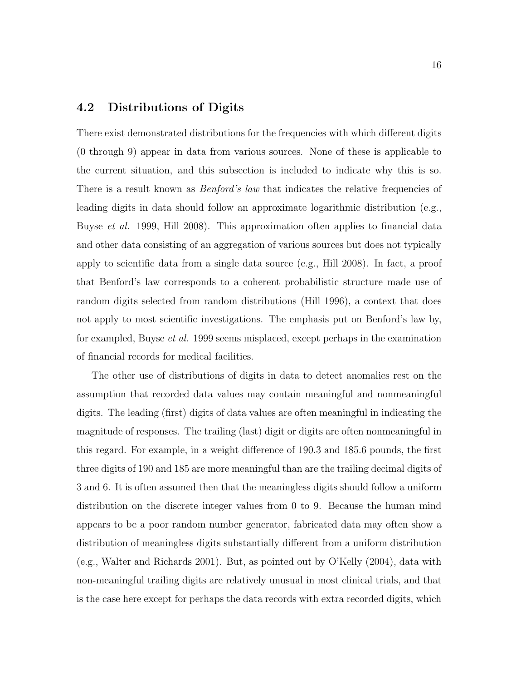#### 4.2 Distributions of Digits

There exist demonstrated distributions for the frequencies with which different digits (0 through 9) appear in data from various sources. None of these is applicable to the current situation, and this subsection is included to indicate why this is so. There is a result known as *Benford's law* that indicates the relative frequencies of leading digits in data should follow an approximate logarithmic distribution (e.g., Buyse *et al.* 1999, Hill 2008). This approximation often applies to financial data and other data consisting of an aggregation of various sources but does not typically apply to scientific data from a single data source (e.g., Hill 2008). In fact, a proof that Benford's law corresponds to a coherent probabilistic structure made use of random digits selected from random distributions (Hill 1996), a context that does not apply to most scientific investigations. The emphasis put on Benford's law by, for exampled, Buyse et al. 1999 seems misplaced, except perhaps in the examination of financial records for medical facilities.

The other use of distributions of digits in data to detect anomalies rest on the assumption that recorded data values may contain meaningful and nonmeaningful digits. The leading (first) digits of data values are often meaningful in indicating the magnitude of responses. The trailing (last) digit or digits are often nonmeaningful in this regard. For example, in a weight difference of 190.3 and 185.6 pounds, the first three digits of 190 and 185 are more meaningful than are the trailing decimal digits of 3 and 6. It is often assumed then that the meaningless digits should follow a uniform distribution on the discrete integer values from 0 to 9. Because the human mind appears to be a poor random number generator, fabricated data may often show a distribution of meaningless digits substantially different from a uniform distribution (e.g., Walter and Richards 2001). But, as pointed out by O'Kelly (2004), data with non-meaningful trailing digits are relatively unusual in most clinical trials, and that is the case here except for perhaps the data records with extra recorded digits, which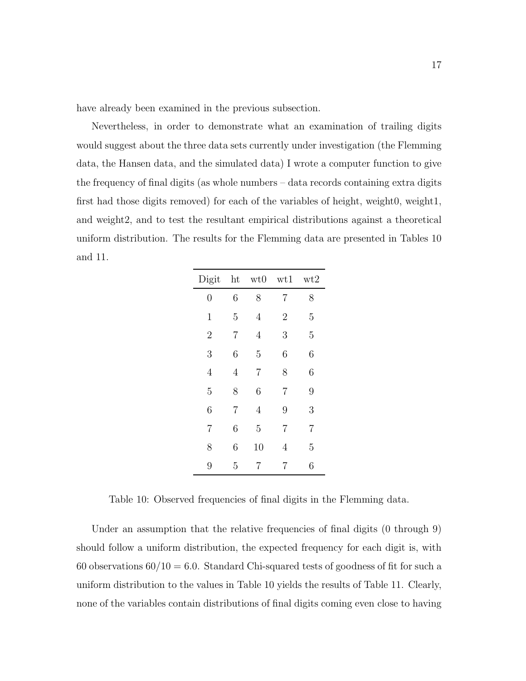have already been examined in the previous subsection.

Nevertheless, in order to demonstrate what an examination of trailing digits would suggest about the three data sets currently under investigation (the Flemming data, the Hansen data, and the simulated data) I wrote a computer function to give the frequency of final digits (as whole numbers – data records containing extra digits first had those digits removed) for each of the variables of height, weight0, weight1, and weight2, and to test the resultant empirical distributions against a theoretical uniform distribution. The results for the Flemming data are presented in Tables 10 and 11.

| Digit          | ht             | wt0 | wt1            | wt2            |
|----------------|----------------|-----|----------------|----------------|
| $\overline{0}$ | 6              | 8   | 7              | 8              |
| $\mathbf{1}$   | 5              | 4   | $\overline{2}$ | 5              |
| $\overline{2}$ | $\overline{7}$ | 4   | 3              | 5              |
| 3              | 6              | 5   | 6              | 6              |
| $\overline{4}$ | 4              | 7   | 8              | 6              |
| 5              | 8              | 6   | $\overline{7}$ | 9              |
| 6              | 7              | 4   | 9              | 3              |
| $\overline{7}$ | 6              | 5   | $\overline{7}$ | $\overline{7}$ |
| 8              | 6              | 10  | 4              | 5              |
| 9              | 5              | 7   | 7              | 6              |

Table 10: Observed frequencies of final digits in the Flemming data.

Under an assumption that the relative frequencies of final digits (0 through 9) should follow a uniform distribution, the expected frequency for each digit is, with 60 observations  $60/10 = 6.0$ . Standard Chi-squared tests of goodness of fit for such a uniform distribution to the values in Table 10 yields the results of Table 11. Clearly, none of the variables contain distributions of final digits coming even close to having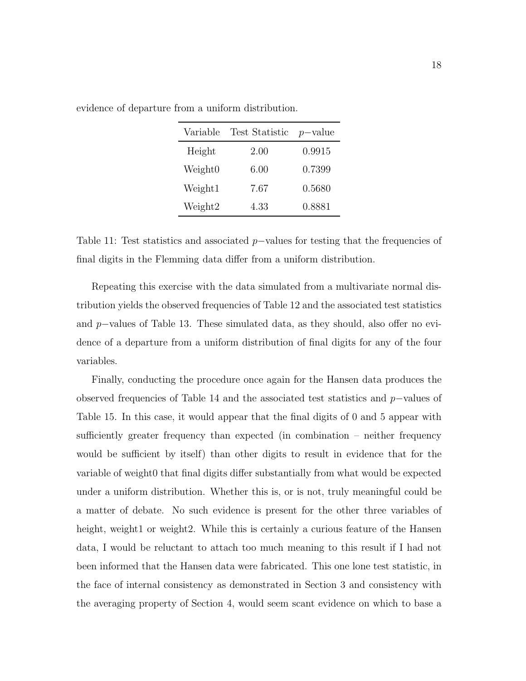| Variable            | Test Statistic $p$ -value |        |
|---------------------|---------------------------|--------|
| Height              | 2.00                      | 0.9915 |
| Weight <sub>0</sub> | 6.00                      | 0.7399 |
| Weight1             | 7.67                      | 0.5680 |
| Weight2             | 4.33                      | 0.8881 |
|                     |                           |        |

evidence of departure from a uniform distribution.

Table 11: Test statistics and associated  $p$ -values for testing that the frequencies of final digits in the Flemming data differ from a uniform distribution.

Repeating this exercise with the data simulated from a multivariate normal distribution yields the observed frequencies of Table 12 and the associated test statistics and p−values of Table 13. These simulated data, as they should, also offer no evidence of a departure from a uniform distribution of final digits for any of the four variables.

Finally, conducting the procedure once again for the Hansen data produces the observed frequencies of Table 14 and the associated test statistics and p−values of Table 15. In this case, it would appear that the final digits of 0 and 5 appear with sufficiently greater frequency than expected (in combination – neither frequency would be sufficient by itself) than other digits to result in evidence that for the variable of weight0 that final digits differ substantially from what would be expected under a uniform distribution. Whether this is, or is not, truly meaningful could be a matter of debate. No such evidence is present for the other three variables of height, weight1 or weight2. While this is certainly a curious feature of the Hansen data, I would be reluctant to attach too much meaning to this result if I had not been informed that the Hansen data were fabricated. This one lone test statistic, in the face of internal consistency as demonstrated in Section 3 and consistency with the averaging property of Section 4, would seem scant evidence on which to base a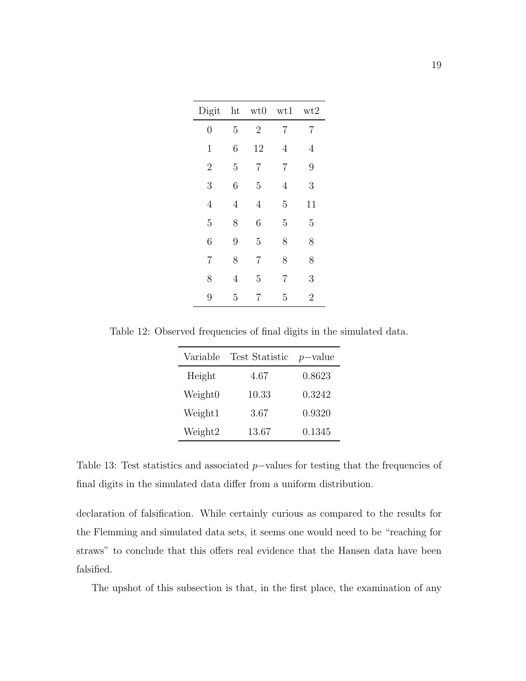| Digit          | ht             | wt0            | wt1 | wt2            |
|----------------|----------------|----------------|-----|----------------|
| $\overline{0}$ | 5              | $\overline{2}$ | 7   | 7              |
| $\mathbf 1$    | 6              | 12             | 4   | 4              |
| $\overline{2}$ | 5              | 7              | 7   | 9              |
| 3              | 6              | 5              | 4   | 3              |
| $\overline{4}$ | $\overline{4}$ | $\overline{4}$ | 5   | 11             |
| 5              | 8              | 6              | 5   | 5              |
| 6              | 9              | 5              | 8   | 8              |
| $\overline{7}$ | 8              | $\overline{7}$ | 8   | 8              |
| 8              | 4              | 5              | 7   | 3              |
| 9              | 5              | 7              | 5   | $\overline{2}$ |

Table 12: Observed frequencies of final digits in the simulated data.

| Variable            | Test Statistic $p$ -value |        |
|---------------------|---------------------------|--------|
| Height              | 4.67                      | 0.8623 |
| Weight <sub>0</sub> | 10.33                     | 0.3242 |
| Weight1             | 3.67                      | 0.9320 |
| Weight2             | 13.67                     | 0.1345 |

Table 13: Test statistics and associated p–values for testing that the frequencies of final digits in the simulated data differ from a uniform distribution.

declaration of falsification. While certainly curious as compared to the results for the Flemming and simulated data sets, it seems one would need to be "reaching for straws" to conclude that this offers real evidence that the Hansen data have been falsified.

The upshot of this subsection is that, in the first place, the examination of any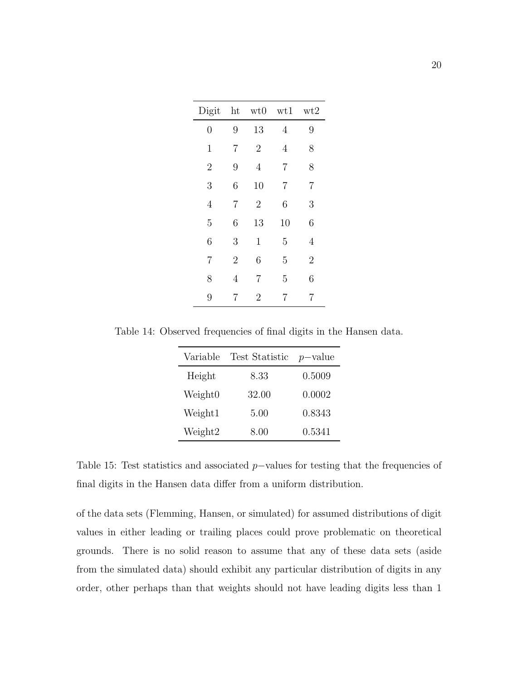| Digit          | ht             | wt0            | wt1            | wt2            |
|----------------|----------------|----------------|----------------|----------------|
| $\overline{0}$ | 9              | 13             | $\overline{4}$ | 9              |
| $\mathbf 1$    | 7              | $\overline{2}$ | 4              | 8              |
| $\overline{2}$ | 9              | $\overline{4}$ | $\overline{7}$ | 8              |
| 3              | 6              | 10             | $\overline{7}$ | $\overline{7}$ |
| $\overline{4}$ | 7              | $\overline{2}$ | 6              | 3              |
| $\overline{5}$ | 6              | 13             | 10             | 6              |
| 6              | 3              | $\mathbf{1}$   | 5              | 4              |
| $\overline{7}$ | $\overline{2}$ | 6              | 5              | $\overline{2}$ |
| 8              | 4              | 7              | 5              | 6              |
| 9              | 7              | $\overline{2}$ | 7              | 7              |

Table 14: Observed frequencies of final digits in the Hansen data.

| Variable            | Test Statistic | $p$ -value |
|---------------------|----------------|------------|
| Height              | 8.33           | 0.5009     |
| Weight <sub>0</sub> | 32.00          | 0.0002     |
| Weight1             | 5.00           | 0.8343     |
| Weight2             | 8.00           | 0.5341     |

Table 15: Test statistics and associated p–values for testing that the frequencies of final digits in the Hansen data differ from a uniform distribution.

of the data sets (Flemming, Hansen, or simulated) for assumed distributions of digit values in either leading or trailing places could prove problematic on theoretical grounds. There is no solid reason to assume that any of these data sets (aside from the simulated data) should exhibit any particular distribution of digits in any order, other perhaps than that weights should not have leading digits less than 1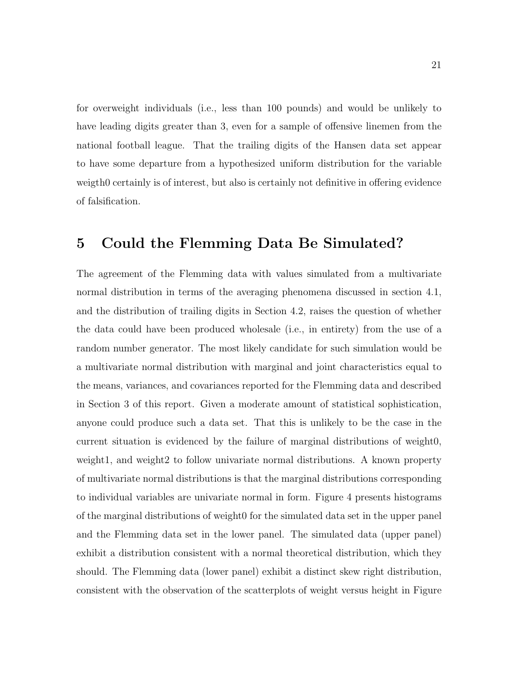for overweight individuals (i.e., less than 100 pounds) and would be unlikely to have leading digits greater than 3, even for a sample of offensive linemen from the national football league. That the trailing digits of the Hansen data set appear to have some departure from a hypothesized uniform distribution for the variable weigth0 certainly is of interest, but also is certainly not definitive in offering evidence of falsification.

## 5 Could the Flemming Data Be Simulated?

The agreement of the Flemming data with values simulated from a multivariate normal distribution in terms of the averaging phenomena discussed in section 4.1, and the distribution of trailing digits in Section 4.2, raises the question of whether the data could have been produced wholesale (i.e., in entirety) from the use of a random number generator. The most likely candidate for such simulation would be a multivariate normal distribution with marginal and joint characteristics equal to the means, variances, and covariances reported for the Flemming data and described in Section 3 of this report. Given a moderate amount of statistical sophistication, anyone could produce such a data set. That this is unlikely to be the case in the current situation is evidenced by the failure of marginal distributions of weight0, weight1, and weight2 to follow univariate normal distributions. A known property of multivariate normal distributions is that the marginal distributions corresponding to individual variables are univariate normal in form. Figure 4 presents histograms of the marginal distributions of weight0 for the simulated data set in the upper panel and the Flemming data set in the lower panel. The simulated data (upper panel) exhibit a distribution consistent with a normal theoretical distribution, which they should. The Flemming data (lower panel) exhibit a distinct skew right distribution, consistent with the observation of the scatterplots of weight versus height in Figure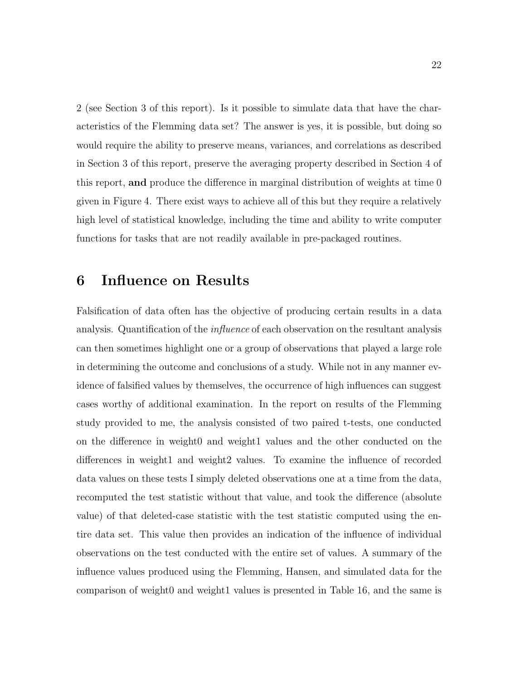2 (see Section 3 of this report). Is it possible to simulate data that have the characteristics of the Flemming data set? The answer is yes, it is possible, but doing so would require the ability to preserve means, variances, and correlations as described in Section 3 of this report, preserve the averaging property described in Section 4 of this report, and produce the difference in marginal distribution of weights at time 0 given in Figure 4. There exist ways to achieve all of this but they require a relatively high level of statistical knowledge, including the time and ability to write computer functions for tasks that are not readily available in pre-packaged routines.

#### 6 Influence on Results

Falsification of data often has the objective of producing certain results in a data analysis. Quantification of the influence of each observation on the resultant analysis can then sometimes highlight one or a group of observations that played a large role in determining the outcome and conclusions of a study. While not in any manner evidence of falsified values by themselves, the occurrence of high influences can suggest cases worthy of additional examination. In the report on results of the Flemming study provided to me, the analysis consisted of two paired t-tests, one conducted on the difference in weight0 and weight1 values and the other conducted on the differences in weight1 and weight2 values. To examine the influence of recorded data values on these tests I simply deleted observations one at a time from the data, recomputed the test statistic without that value, and took the difference (absolute value) of that deleted-case statistic with the test statistic computed using the entire data set. This value then provides an indication of the influence of individual observations on the test conducted with the entire set of values. A summary of the influence values produced using the Flemming, Hansen, and simulated data for the comparison of weight0 and weight1 values is presented in Table 16, and the same is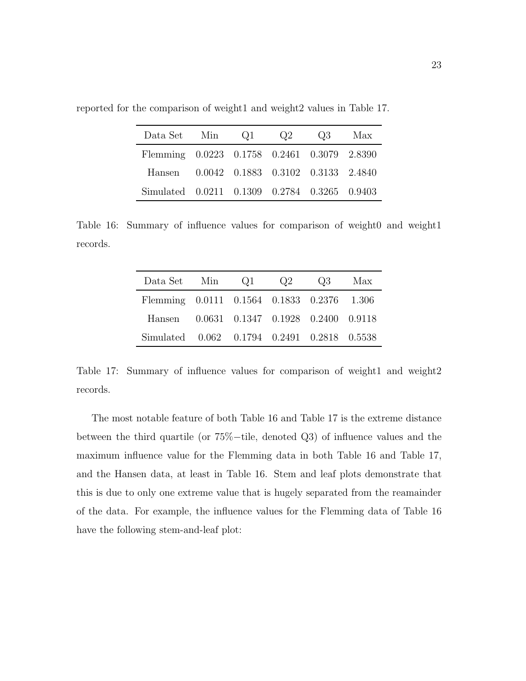| Data Set Min Q1 Q2                           |  | Q3 Max |  |
|----------------------------------------------|--|--------|--|
| Flemming 0.0223 0.1758 0.2461 0.3079 2.8390  |  |        |  |
| Hansen 0.0042 0.1883 0.3102 0.3133 2.4840    |  |        |  |
| Simulated 0.0211 0.1309 0.2784 0.3265 0.9403 |  |        |  |

reported for the comparison of weight1 and weight2 values in Table 17.

Table 16: Summary of influence values for comparison of weight0 and weight1 records.

| Data Set Min Q1                             |  | Q2 | $\Omega$ 3 | Max |
|---------------------------------------------|--|----|------------|-----|
| Flemming 0.0111 0.1564 0.1833 0.2376 1.306  |  |    |            |     |
| Hansen 0.0631 0.1347 0.1928 0.2400 0.9118   |  |    |            |     |
| Simulated 0.062 0.1794 0.2491 0.2818 0.5538 |  |    |            |     |

Table 17: Summary of influence values for comparison of weight1 and weight2 records.

The most notable feature of both Table 16 and Table 17 is the extreme distance between the third quartile (or 75%−tile, denoted Q3) of influence values and the maximum influence value for the Flemming data in both Table 16 and Table 17, and the Hansen data, at least in Table 16. Stem and leaf plots demonstrate that this is due to only one extreme value that is hugely separated from the reamainder of the data. For example, the influence values for the Flemming data of Table 16 have the following stem-and-leaf plot: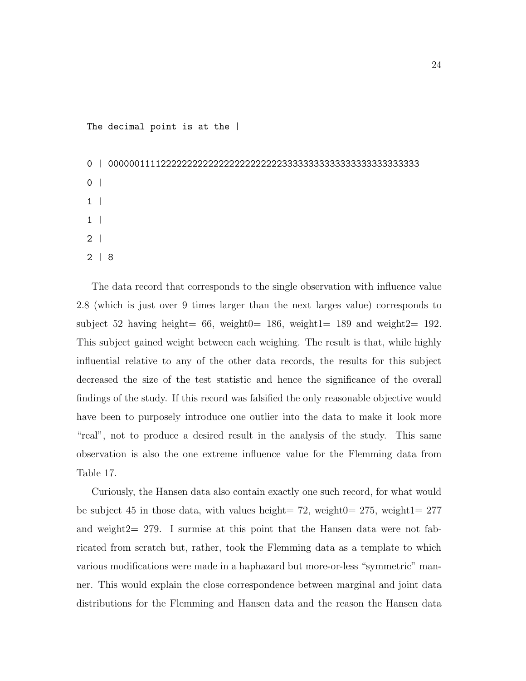The decimal point is at the |

```
0 | 00000011112222222222222222222222233333333333333333333333333
0<sup>1</sup>1 |
1 |
2 |
2 | 8
```
The data record that corresponds to the single observation with influence value 2.8 (which is just over 9 times larger than the next larges value) corresponds to subject 52 having height=  $66$ , weight0= 186, weight1= 189 and weight2= 192. This subject gained weight between each weighing. The result is that, while highly influential relative to any of the other data records, the results for this subject decreased the size of the test statistic and hence the significance of the overall findings of the study. If this record was falsified the only reasonable objective would have been to purposely introduce one outlier into the data to make it look more "real", not to produce a desired result in the analysis of the study. This same observation is also the one extreme influence value for the Flemming data from Table 17.

Curiously, the Hansen data also contain exactly one such record, for what would be subject 45 in those data, with values height= 72, weight0=  $275$ , weight1=  $277$ and weight $2= 279$ . I surmise at this point that the Hansen data were not fabricated from scratch but, rather, took the Flemming data as a template to which various modifications were made in a haphazard but more-or-less "symmetric" manner. This would explain the close correspondence between marginal and joint data distributions for the Flemming and Hansen data and the reason the Hansen data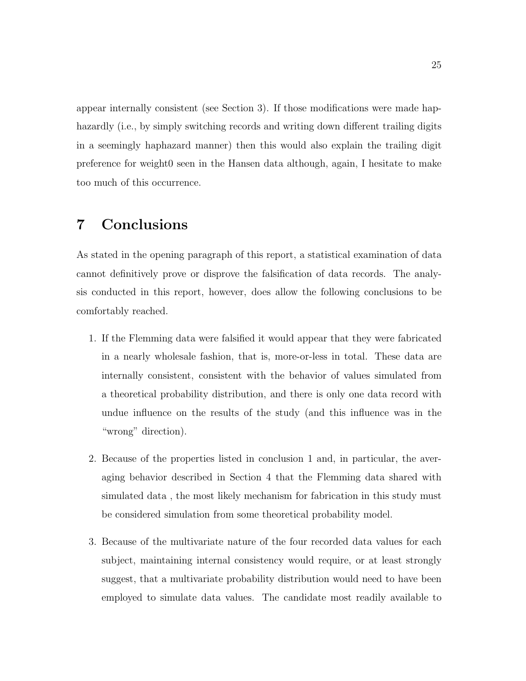appear internally consistent (see Section 3). If those modifications were made haphazardly (i.e., by simply switching records and writing down different trailing digits in a seemingly haphazard manner) then this would also explain the trailing digit preference for weight0 seen in the Hansen data although, again, I hesitate to make too much of this occurrence.

## 7 Conclusions

As stated in the opening paragraph of this report, a statistical examination of data cannot definitively prove or disprove the falsification of data records. The analysis conducted in this report, however, does allow the following conclusions to be comfortably reached.

- 1. If the Flemming data were falsified it would appear that they were fabricated in a nearly wholesale fashion, that is, more-or-less in total. These data are internally consistent, consistent with the behavior of values simulated from a theoretical probability distribution, and there is only one data record with undue influence on the results of the study (and this influence was in the "wrong" direction).
- 2. Because of the properties listed in conclusion 1 and, in particular, the averaging behavior described in Section 4 that the Flemming data shared with simulated data , the most likely mechanism for fabrication in this study must be considered simulation from some theoretical probability model.
- 3. Because of the multivariate nature of the four recorded data values for each subject, maintaining internal consistency would require, or at least strongly suggest, that a multivariate probability distribution would need to have been employed to simulate data values. The candidate most readily available to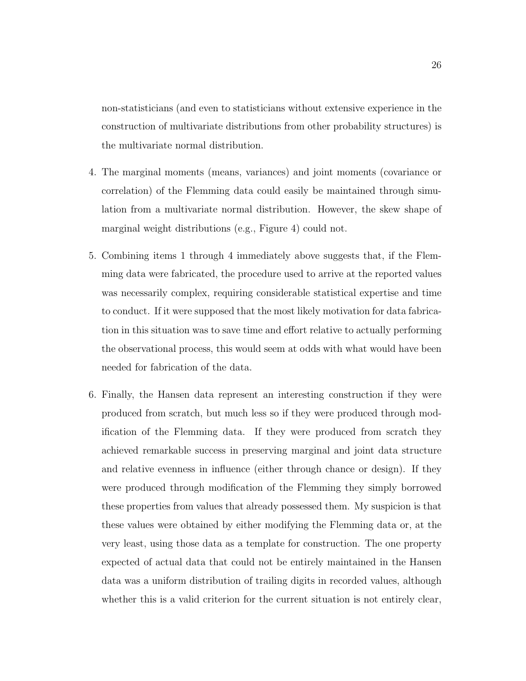non-statisticians (and even to statisticians without extensive experience in the construction of multivariate distributions from other probability structures) is the multivariate normal distribution.

- 4. The marginal moments (means, variances) and joint moments (covariance or correlation) of the Flemming data could easily be maintained through simulation from a multivariate normal distribution. However, the skew shape of marginal weight distributions (e.g., Figure 4) could not.
- 5. Combining items 1 through 4 immediately above suggests that, if the Flemming data were fabricated, the procedure used to arrive at the reported values was necessarily complex, requiring considerable statistical expertise and time to conduct. If it were supposed that the most likely motivation for data fabrication in this situation was to save time and effort relative to actually performing the observational process, this would seem at odds with what would have been needed for fabrication of the data.
- 6. Finally, the Hansen data represent an interesting construction if they were produced from scratch, but much less so if they were produced through modification of the Flemming data. If they were produced from scratch they achieved remarkable success in preserving marginal and joint data structure and relative evenness in influence (either through chance or design). If they were produced through modification of the Flemming they simply borrowed these properties from values that already possessed them. My suspicion is that these values were obtained by either modifying the Flemming data or, at the very least, using those data as a template for construction. The one property expected of actual data that could not be entirely maintained in the Hansen data was a uniform distribution of trailing digits in recorded values, although whether this is a valid criterion for the current situation is not entirely clear,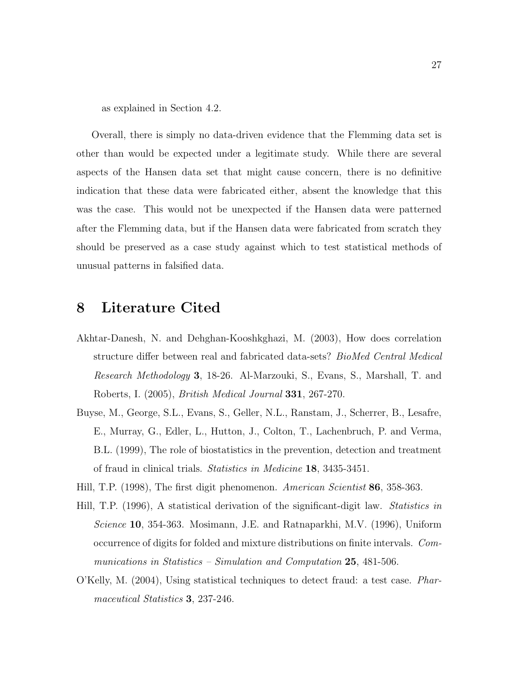as explained in Section 4.2.

Overall, there is simply no data-driven evidence that the Flemming data set is other than would be expected under a legitimate study. While there are several aspects of the Hansen data set that might cause concern, there is no definitive indication that these data were fabricated either, absent the knowledge that this was the case. This would not be unexpected if the Hansen data were patterned after the Flemming data, but if the Hansen data were fabricated from scratch they should be preserved as a case study against which to test statistical methods of unusual patterns in falsified data.

#### 8 Literature Cited

- Akhtar-Danesh, N. and Dehghan-Kooshkghazi, M. (2003), How does correlation structure differ between real and fabricated data-sets? BioMed Central Medical Research Methodology 3, 18-26. Al-Marzouki, S., Evans, S., Marshall, T. and Roberts, I. (2005), British Medical Journal 331, 267-270.
- Buyse, M., George, S.L., Evans, S., Geller, N.L., Ranstam, J., Scherrer, B., Lesafre, E., Murray, G., Edler, L., Hutton, J., Colton, T., Lachenbruch, P. and Verma, B.L. (1999), The role of biostatistics in the prevention, detection and treatment of fraud in clinical trials. Statistics in Medicine 18, 3435-3451.
- Hill, T.P. (1998), The first digit phenomenon. American Scientist 86, 358-363.
- Hill, T.P. (1996), A statistical derivation of the significant-digit law. Statistics in Science 10, 354-363. Mosimann, J.E. and Ratnaparkhi, M.V. (1996), Uniform occurrence of digits for folded and mixture distributions on finite intervals. Communications in Statistics – Simulation and Computation 25, 481-506.
- O'Kelly, M. (2004), Using statistical techniques to detect fraud: a test case. Pharmaceutical Statistics 3, 237-246.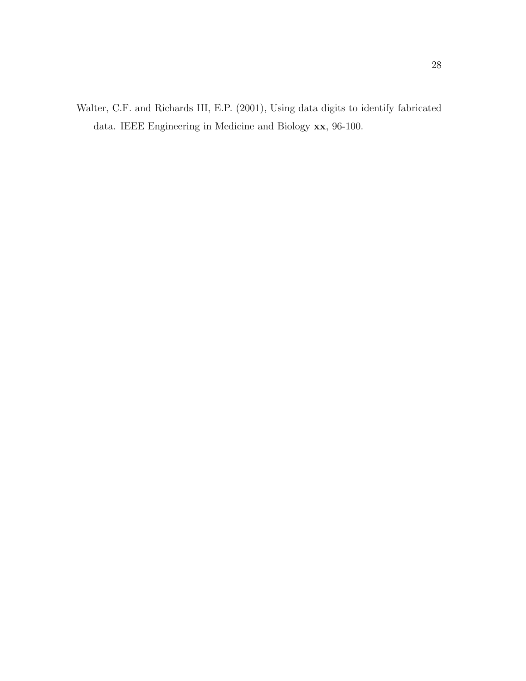Walter, C.F. and Richards III, E.P. (2001), Using data digits to identify fabricated data. IEEE Engineering in Medicine and Biology xx, 96-100.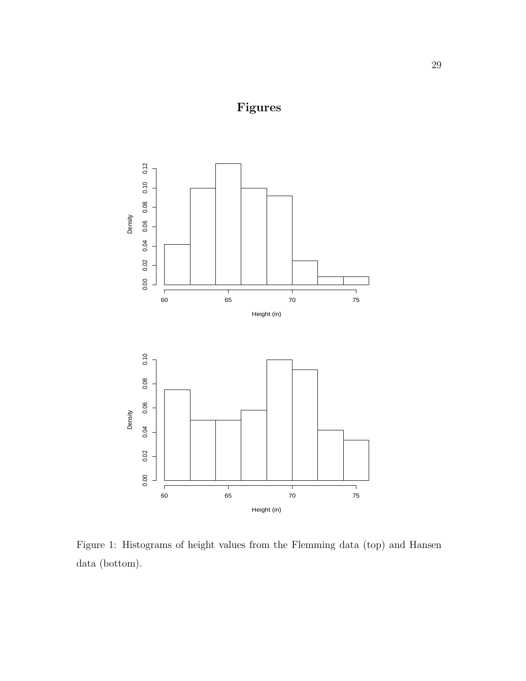# Figures



Figure 1: Histograms of height values from the Flemming data (top) and Hansen data (bottom).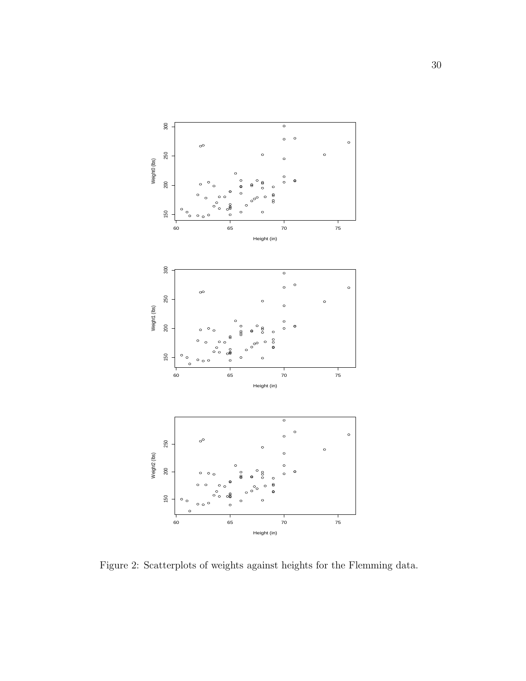

Figure 2: Scatterplots of weights against heights for the Flemming data.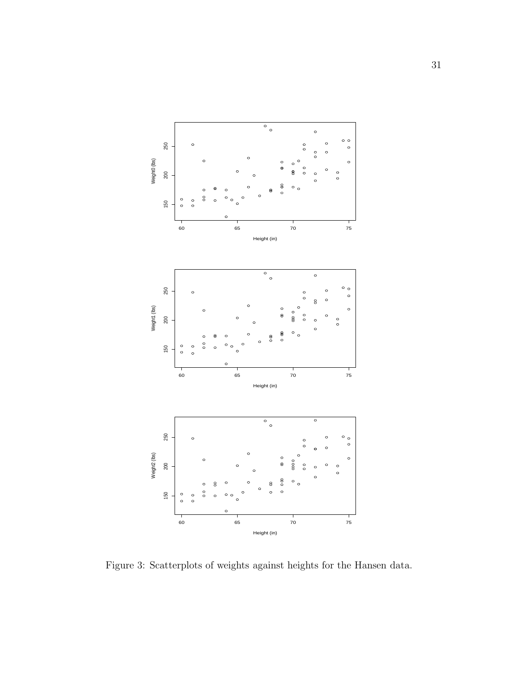

Figure 3: Scatterplots of weights against heights for the Hansen data.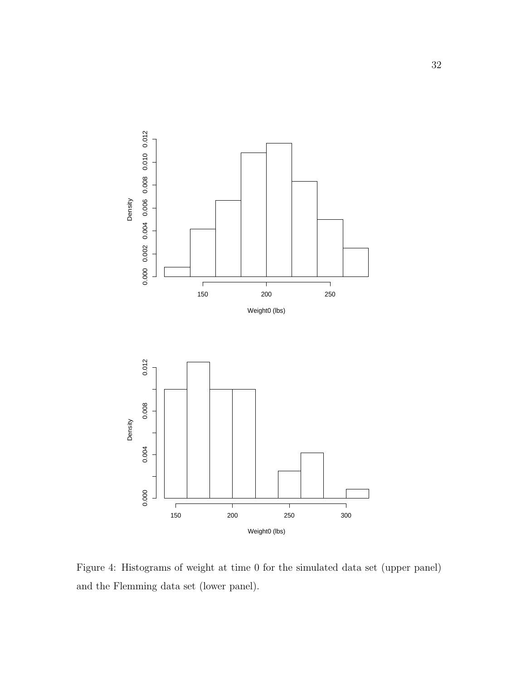

Figure 4: Histograms of weight at time 0 for the simulated data set (upper panel) and the Flemming data set (lower panel).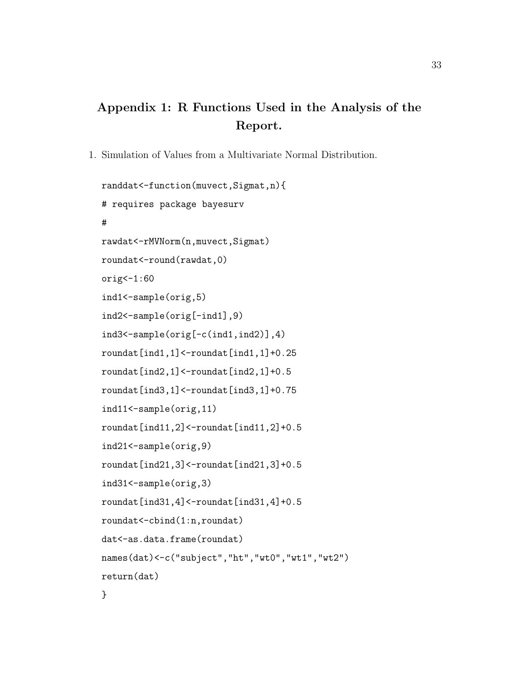## Appendix 1: R Functions Used in the Analysis of the Report.

1. Simulation of Values from a Multivariate Normal Distribution.

```
randdat<-function(muvect,Sigmat,n){
# requires package bayesurv
#
rawdat<-rMVNorm(n,muvect,Sigmat)
roundat<-round(rawdat,0)
orig<-1:60ind1<-sample(orig,5)
ind2<-sample(orig[-ind1],9)
ind3<-sample(orig[-c(ind1,ind2)],4)
roundat[ind1,1]<-roundat[ind1,1]+0.25
roundat[ind2,1]<-roundat[ind2,1]+0.5
roundat[ind3,1]<-roundat[ind3,1]+0.75
ind11<-sample(orig,11)
roundat[ind11,2]<-roundat[ind11,2]+0.5
ind21<-sample(orig,9)
roundat[ind21,3]<-roundat[ind21,3]+0.5
ind31<-sample(orig,3)
roundat[ind31,4]<-roundat[ind31,4]+0.5
roundat<-cbind(1:n,roundat)
dat<-as.data.frame(roundat)
names(dat)<-c("subject","ht","wt0","wt1","wt2")
return(dat)
}
```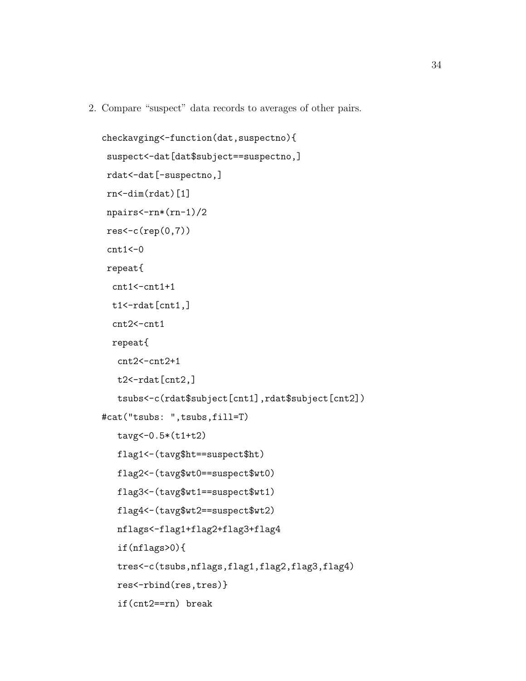2. Compare "suspect" data records to averages of other pairs.

```
checkavging<-function(dat,suspectno){
 suspect<-dat[dat$subject==suspectno,]
 rdat<-dat[-suspectno,]
 rn < -dim(rdat)[1]
 npairs<-rn*(rn-1)/2
 res < -c(rep(0,7))cnt1<-0repeat{
  cnt1 < -cnt1 + 1t1 <-rdat [cnt1,]
  cnt2<-cnt1
  repeat{
   cnt2<-cnt2+1t2 <-rdat [cnt2,]
   tsubs<-c(rdat$subject[cnt1],rdat$subject[cnt2])
#cat("tsubs: ",tsubs,fill=T)
   tavg<-0.5*(t1+t2)
   flag1<-(tavg$ht==suspect$ht)
   flag2<-(tavg$wt0==suspect$wt0)
   flag3<-(tavg$wt1==suspect$wt1)
   flag4<-(tavg$wt2==suspect$wt2)
   nflags<-flag1+flag2+flag3+flag4
   if(nflags>0){
   tres<-c(tsubs,nflags,flag1,flag2,flag3,flag4)
   res<-rbind(res,tres)}
   if(cnt2==rn) break
```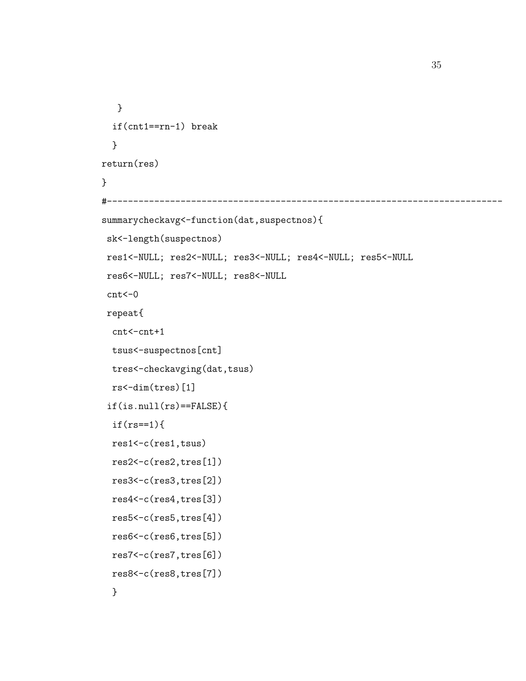```
}
  if(cnt1==rn-1) break
  }
return(res)
}
#---------------------------------------------------------------------------
summarycheckavg<-function(dat,suspectnos){
sk<-length(suspectnos)
res1<-NULL; res2<-NULL; res3<-NULL; res4<-NULL; res5<-NULL
res6<-NULL; res7<-NULL; res8<-NULL
 cnt < -0repeat{
  cnt<-cnt+1
 tsus<-suspectnos[cnt]
  tres<-checkavging(dat,tsus)
 rs<-dim(tres)[1]
 if(is.null(rs)=FALSE){if(rs==1){
 res1<-c(res1,tsus)
 res2<-c(res2,tres[1])
 res3<-c(res3,tres[2])
 res4<-c(res4,tres[3])
 res5<-c(res5,tres[4])
 res6<-c(res6,tres[5])
 res7<-c(res7,tres[6])
 res8<-c(res8,tres[7])
  }
```
35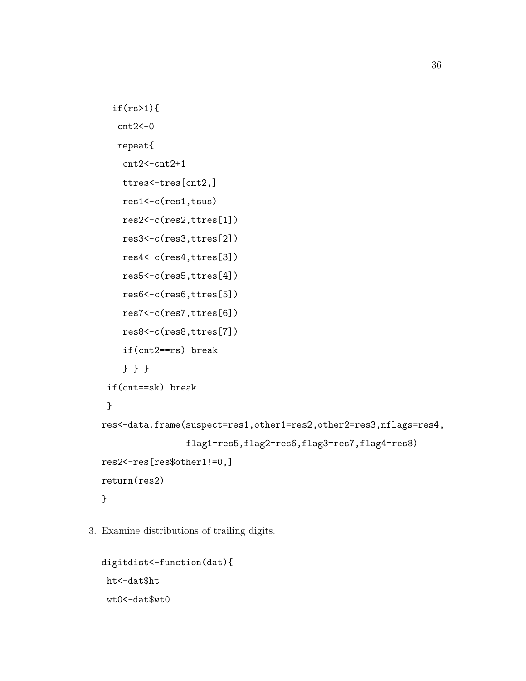```
if(rs>1){
   cnt2<-0repeat{
    cnt2 < -cnt2+1ttres<-tres[cnt2,]
    res1<-c(res1,tsus)
    res2<-c(res2,ttres[1])
    res3<-c(res3,ttres[2])
    res4<-c(res4,ttres[3])
    res5<-c(res5,ttres[4])
    res6<-c(res6,ttres[5])
    res7<-c(res7,ttres[6])
    res8<-c(res8,ttres[7])
    if(cnt2==rs) break
    } } }
 if(cnt==sk) break
 }
res<-data.frame(suspect=res1,other1=res2,other2=res3,nflags=res4,
                flag1=res5,flag2=res6,flag3=res7,flag4=res8)
res2<-res[res$other1!=0,]
return(res2)
}
```
3. Examine distributions of trailing digits.

```
digitdist<-function(dat){
ht<-dat$ht
wt0 <- dat $wt0
```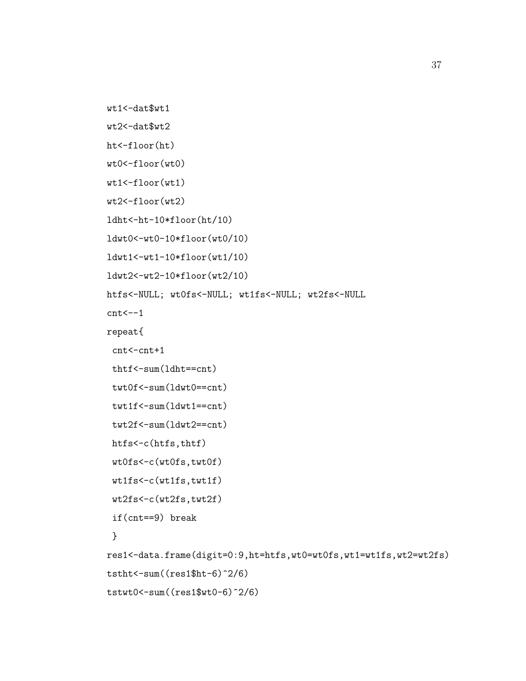```
wt1<-dat$wt1
```

```
wt2<-dat$wt2
```

```
ht<-floor(ht)
```

```
wt0<-floor(wt0)
```

```
wt1<-floor(wt1)
```

```
wt2<-floor(wt2)
```

```
ldht<-ht-10*floor(ht/10)
```

```
ldwt0<-wt0-10*floor(wt0/10)
```

```
ldwt1<-wt1-10*floor(wt1/10)
```

```
ldwt2<-wt2-10*floor(wt2/10)
```

```
htfs<-NULL; wt0fs<-NULL; wt1fs<-NULL; wt2fs<-NULL
```
 $cnt < -1$ 

```
repeat{
```

```
cnt<-cnt+1
```

```
thtf<-sum(ldht==cnt)
```

```
twt0f<-sum(ldwt0==cnt)
```

```
twt1f<-sum(ldwt1==cnt)
```

```
twt2f<-sum(ldwt2==cnt)
```

```
htfs<-c(htfs,thtf)
```

```
wt0fs<-c(wt0fs,twt0f)
```

```
wt1fs<-c(wt1fs,twt1f)
```

```
wt2fs<-c(wt2fs,twt2f)
```

```
if(cnt==9) break
```

```
}
```

```
res1<-data.frame(digit=0:9,ht=htfs,wt0=wt0fs,wt1=wt1fs,wt2=wt2fs)
tstht \frac{-sum((res1$ht-6)^2/6)}{}tstwt0<-sum((res1$wt0-6)^2/6)
```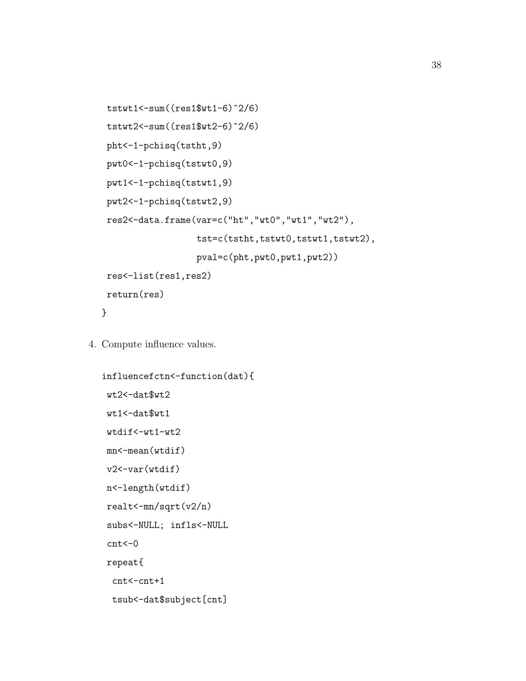```
tstwt1 < - sum((res1$wt1-6)^2/6)tstwt2<-sum((res1$wt2-6)^2/6)
pht<-1-pchisq(tstht,9)
pwt0<-1-pchisq(tstwt0,9)
pwt1<-1-pchisq(tstwt1,9)
pwt2<-1-pchisq(tstwt2,9)
res2<-data.frame(var=c("ht","wt0","wt1","wt2"),
                  tst=c(tstht,tstwt0,tstwt1,tstwt2),
                  pval=c(pht,pwt0,pwt1,pwt2))
res<-list(res1,res2)
return(res)
}
```
4. Compute influence values.

```
influencefctn<-function(dat){
wt2<-dat$wt2
wt1<-dat$wt1
wtdif<-wt1-wt2
mn<-mean(wtdif)
v2<-var(wtdif)
n<-length(wtdif)
realt<-mn/sqrt(v2/n)
subs<-NULL; infls<-NULL
cnt < -0repeat{
 cnt<-cnt+1
 tsub<-dat$subject[cnt]
```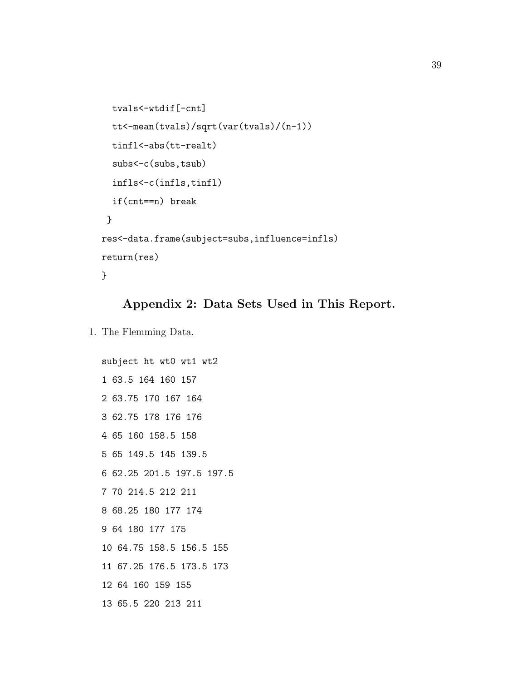```
tvals<-wtdif[-cnt]
 tt<-mean(tvals)/sqrt(var(tvals)/(n-1))
  tinfl<-abs(tt-realt)
  subs<-c(subs,tsub)
  infls<-c(infls,tinfl)
  if(cnt==n) break
 }
res<-data.frame(subject=subs,influence=infls)
return(res)
}
```
#### Appendix 2: Data Sets Used in This Report.

1. The Flemming Data.

```
subject ht wt0 wt1 wt2
1 63.5 164 160 157
2 63.75 170 167 164
3 62.75 178 176 176
4 65 160 158.5 158
5 65 149.5 145 139.5
6 62.25 201.5 197.5 197.5
7 70 214.5 212 211
8 68.25 180 177 174
9 64 180 177 175
10 64.75 158.5 156.5 155
11 67.25 176.5 173.5 173
12 64 160 159 155
13 65.5 220 213 211
```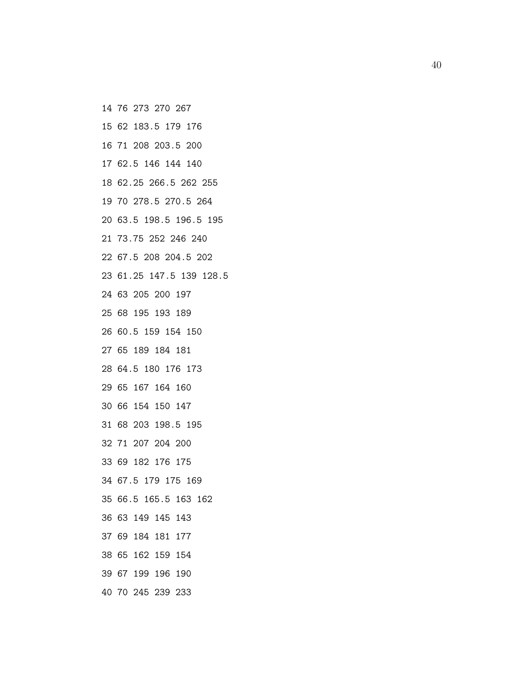- 14 76 273 270 267
- 15 62 183.5 179 176
- 16 71 208 203.5 200
- 17 62.5 146 144 140
- 18 62.25 266.5 262 255
- 19 70 278.5 270.5 264
- 20 63.5 198.5 196.5 195
- 21 73.75 252 246 240
- 22 67.5 208 204.5 202
- 23 61.25 147.5 139 128.5
- 24 63 205 200 197
- 25 68 195 193 189
- 26 60.5 159 154 150
- 27 65 189 184 181
- 28 64.5 180 176 173
- 29 65 167 164 160
- 30 66 154 150 147
- 31 68 203 198.5 195
- 32 71 207 204 200
- 33 69 182 176 175
- 34 67.5 179 175 169
- 35 66.5 165.5 163 162
- 36 63 149 145 143
- 37 69 184 181 177
- 38 65 162 159 154
- 39 67 199 196 190
- 40 70 245 239 233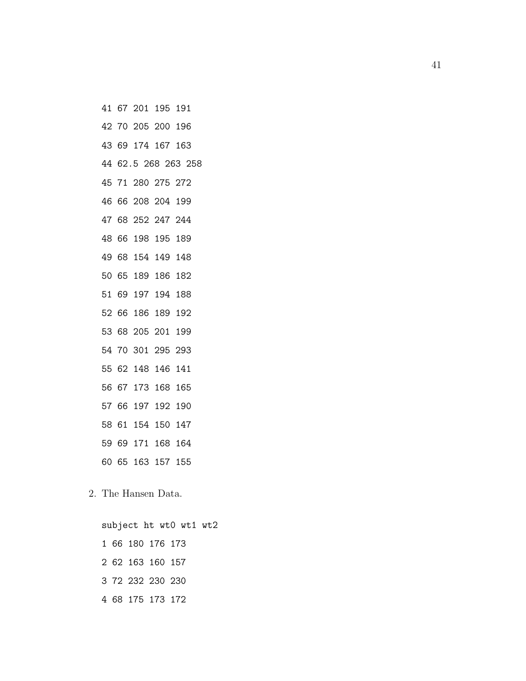- 41 67 201 195 191
- 42 70 205 200 196
- 43 69 174 167 163
- 44 62.5 268 263 258
- 45 71 280 275 272
- 46 66 208 204 199
- 47 68 252 247 244
- 48 66 198 195 189
- 49 68 154 149 148
- 50 65 189 186 182
- 51 69 197 194 188
- 52 66 186 189 192
- 53 68 205 201 199
- 54 70 301 295 293
- 55 62 148 146 141
- 56 67 173 168 165
- 57 66 197 192 190
- 58 61 154 150 147
- 59 69 171 168 164
- 60 65 163 157 155
- 2. The Hansen Data.
	- subject ht wt0 wt1 wt2 1 66 180 176 173 2 62 163 160 157 3 72 232 230 230 4 68 175 173 172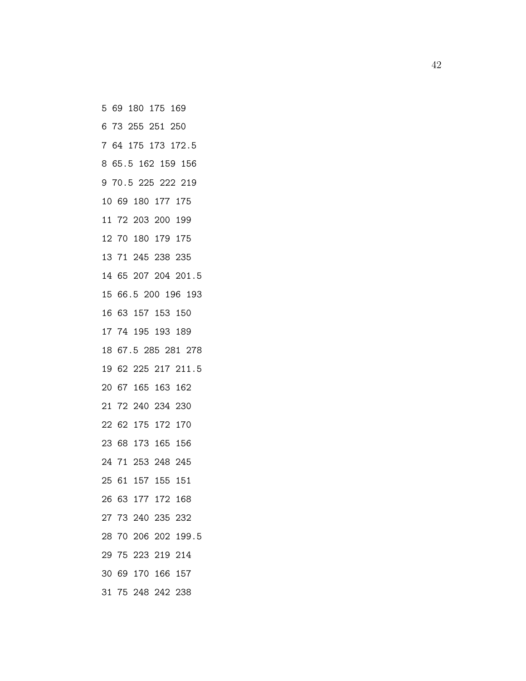- 5 69 180 175 169
- 6 73 255 251 250
- 7 64 175 173 172.5
- 8 65.5 162 159 156
- 9 70.5 225 222 219
- 10 69 180 177 175
- 11 72 203 200 199
- 12 70 180 179 175
- 13 71 245 238 235
- 14 65 207 204 201.5
- 15 66.5 200 196 193
- 16 63 157 153 150
- 17 74 195 193 189
- 18 67.5 285 281 278
- 19 62 225 217 211.5
- 20 67 165 163 162
- 21 72 240 234 230
- 22 62 175 172 170
- 23 68 173 165 156
- 24 71 253 248 245
- 25 61 157 155 151
- 26 63 177 172 168
- 27 73 240 235 232
- 28 70 206 202 199.5
- 29 75 223 219 214
- 30 69 170 166 157
- 31 75 248 242 238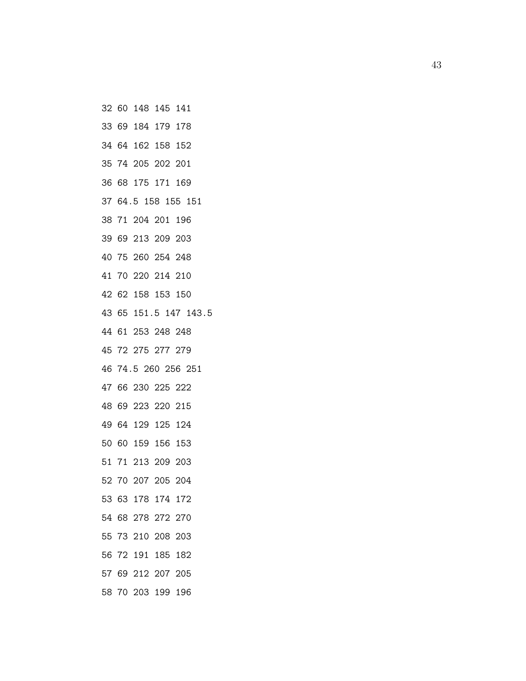- 32 60 148 145 141
- 33 69 184 179 178
- 34 64 162 158 152
- 35 74 205 202 201
- 36 68 175 171 169
- 37 64.5 158 155 151
- 38 71 204 201 196
- 39 69 213 209 203
- 40 75 260 254 248
- 41 70 220 214 210
- 42 62 158 153 150
- 43 65 151.5 147 143.5
- 44 61 253 248 248
- 45 72 275 277 279
- 46 74.5 260 256 251
- 47 66 230 225 222
- 48 69 223 220 215
- 49 64 129 125 124
- 50 60 159 156 153
- 51 71 213 209 203
- 52 70 207 205 204
- 53 63 178 174 172
- 54 68 278 272 270
- 55 73 210 208 203
- 56 72 191 185 182
- 57 69 212 207 205
- 58 70 203 199 196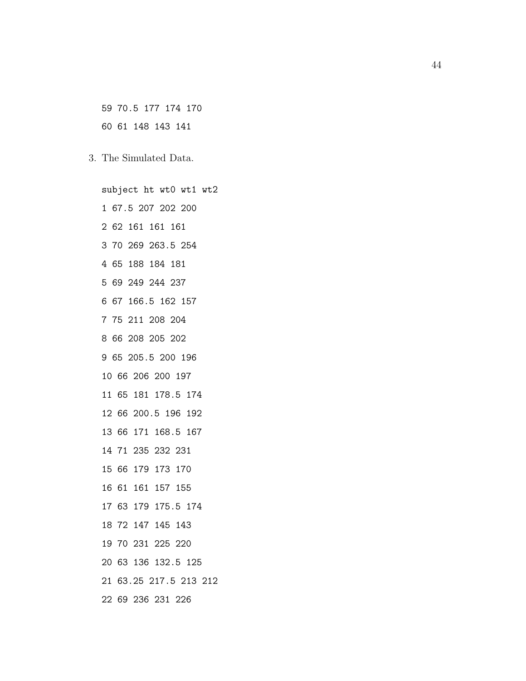59 70.5 177 174 170 60 61 148 143 141

3. The Simulated Data.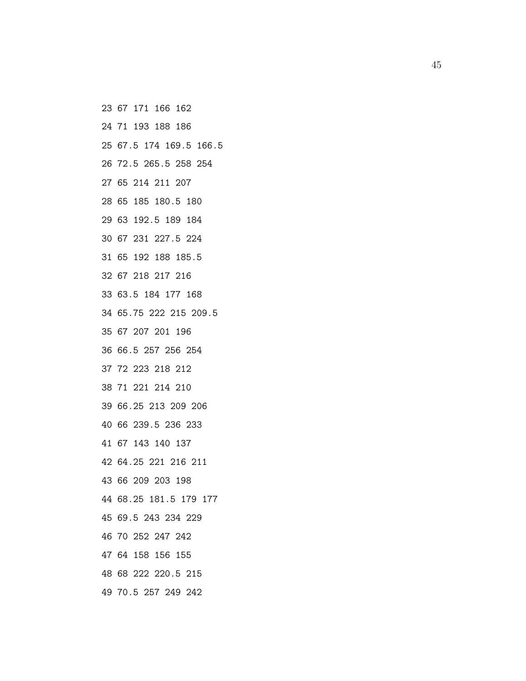- 23 67 171 166 162
- 24 71 193 188 186
- 25 67.5 174 169.5 166.5
- 26 72.5 265.5 258 254
- 27 65 214 211 207
- 28 65 185 180.5 180
- 29 63 192.5 189 184
- 30 67 231 227.5 224
- 31 65 192 188 185.5
- 32 67 218 217 216
- 33 63.5 184 177 168
- 34 65.75 222 215 209.5
- 35 67 207 201 196
- 36 66.5 257 256 254
- 37 72 223 218 212
- 38 71 221 214 210
- 39 66.25 213 209 206
- 40 66 239.5 236 233
- 41 67 143 140 137
- 42 64.25 221 216 211
- 43 66 209 203 198
- 44 68.25 181.5 179 177
- 45 69.5 243 234 229
- 46 70 252 247 242
- 47 64 158 156 155
- 48 68 222 220.5 215
- 49 70.5 257 249 242